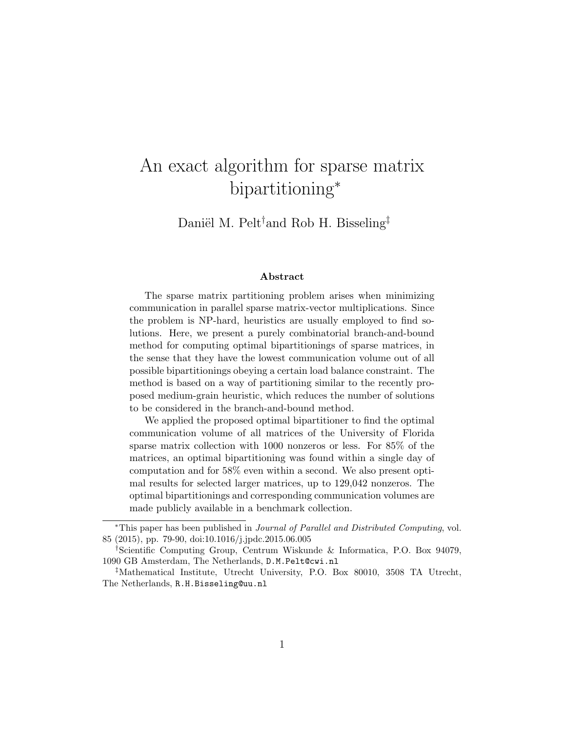# An exact algorithm for sparse matrix bipartitioning<sup>∗</sup>

Daniël M. Pelt<sup>†</sup>and Rob H. Bisseling<sup>‡</sup>

#### Abstract

The sparse matrix partitioning problem arises when minimizing communication in parallel sparse matrix-vector multiplications. Since the problem is NP-hard, heuristics are usually employed to find solutions. Here, we present a purely combinatorial branch-and-bound method for computing optimal bipartitionings of sparse matrices, in the sense that they have the lowest communication volume out of all possible bipartitionings obeying a certain load balance constraint. The method is based on a way of partitioning similar to the recently proposed medium-grain heuristic, which reduces the number of solutions to be considered in the branch-and-bound method.

We applied the proposed optimal bipartitioner to find the optimal communication volume of all matrices of the University of Florida sparse matrix collection with 1000 nonzeros or less. For 85% of the matrices, an optimal bipartitioning was found within a single day of computation and for 58% even within a second. We also present optimal results for selected larger matrices, up to 129,042 nonzeros. The optimal bipartitionings and corresponding communication volumes are made publicly available in a benchmark collection.

<sup>∗</sup>This paper has been published in Journal of Parallel and Distributed Computing, vol. 85 (2015), pp. 79-90, doi:10.1016/j.jpdc.2015.06.005

<sup>†</sup>Scientific Computing Group, Centrum Wiskunde & Informatica, P.O. Box 94079, 1090 GB Amsterdam, The Netherlands, D.M.Pelt@cwi.nl

<sup>‡</sup>Mathematical Institute, Utrecht University, P.O. Box 80010, 3508 TA Utrecht, The Netherlands, R.H.Bisseling@uu.nl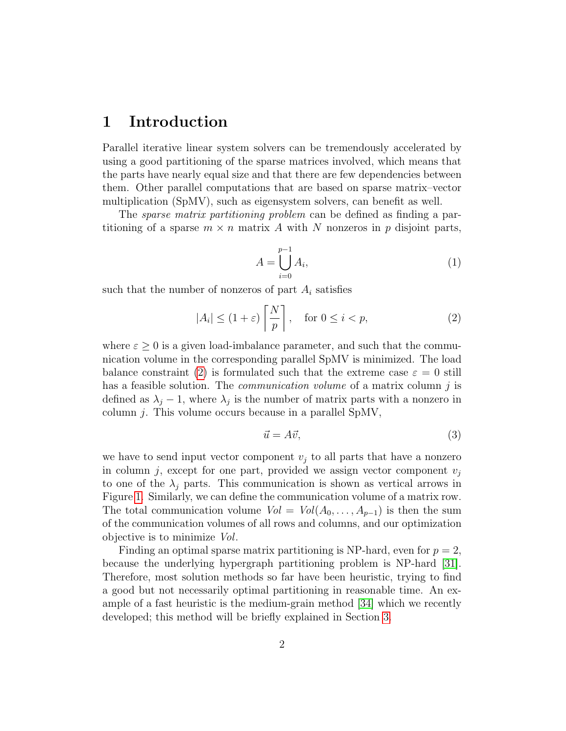### 1 Introduction

Parallel iterative linear system solvers can be tremendously accelerated by using a good partitioning of the sparse matrices involved, which means that the parts have nearly equal size and that there are few dependencies between them. Other parallel computations that are based on sparse matrix–vector multiplication (SpMV), such as eigensystem solvers, can benefit as well.

The *sparse matrix partitioning problem* can be defined as finding a partitioning of a sparse  $m \times n$  matrix A with N nonzeros in p disjoint parts,

<span id="page-1-0"></span>
$$
A = \bigcup_{i=0}^{p-1} A_i,\tag{1}
$$

such that the number of nonzeros of part  $A_i$  satisfies

$$
|A_i| \le (1+\varepsilon) \left[ \frac{N}{p} \right], \quad \text{for } 0 \le i < p,\tag{2}
$$

where  $\varepsilon \geq 0$  is a given load-imbalance parameter, and such that the communication volume in the corresponding parallel SpMV is minimized. The load balance constraint [\(2\)](#page-1-0) is formulated such that the extreme case  $\varepsilon = 0$  still has a feasible solution. The *communication volume* of a matrix column  $j$  is defined as  $\lambda_j - 1$ , where  $\lambda_j$  is the number of matrix parts with a nonzero in column j. This volume occurs because in a parallel SpMV,

$$
\vec{u} = A\vec{v},\tag{3}
$$

we have to send input vector component  $v_j$  to all parts that have a nonzero in column j, except for one part, provided we assign vector component  $v_j$ to one of the  $\lambda_j$  parts. This communication is shown as vertical arrows in Figure [1.](#page-2-0) Similarly, we can define the communication volume of a matrix row. The total communication volume  $Vol = Vol(A_0, \ldots, A_{p-1})$  is then the sum of the communication volumes of all rows and columns, and our optimization objective is to minimize Vol.

Finding an optimal sparse matrix partitioning is NP-hard, even for  $p = 2$ , because the underlying hypergraph partitioning problem is NP-hard [\[31\]](#page-32-0). Therefore, most solution methods so far have been heuristic, trying to find a good but not necessarily optimal partitioning in reasonable time. An example of a fast heuristic is the medium-grain method [\[34\]](#page-32-1) which we recently developed; this method will be briefly explained in Section [3.](#page-8-0)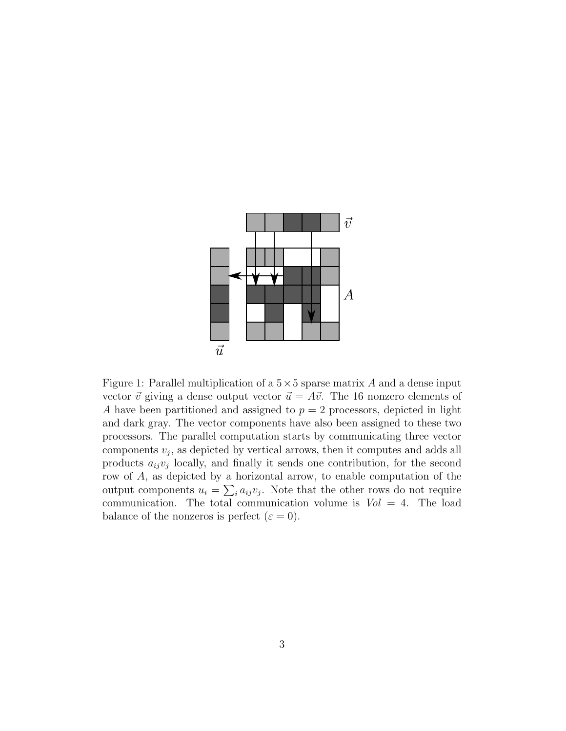<span id="page-2-0"></span>

Figure 1: Parallel multiplication of a  $5 \times 5$  sparse matrix A and a dense input vector  $\vec{v}$  giving a dense output vector  $\vec{u} = A\vec{v}$ . The 16 nonzero elements of A have been partitioned and assigned to  $p = 2$  processors, depicted in light and dark gray. The vector components have also been assigned to these two processors. The parallel computation starts by communicating three vector  $\alpha$  components  $v_j$ , as depicted by vertical arrows, then it computes and adds all products  $a_{ij}v_j$  locally, and finally it sends one contribution, for the second row of A, as depicted by a horizontal arrow, to enable computation of the output components  $u_i = \sum_i a_{ij} v_j$ . Note that the other rows do not require communication. The total communication volume is  $Vol = 4$ . The load balance of the nonzeros is perfect  $(\varepsilon = 0)$ .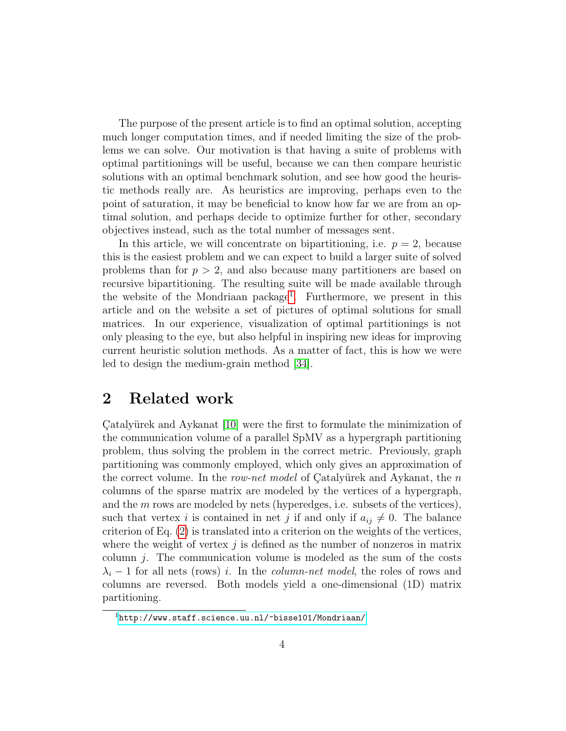The purpose of the present article is to find an optimal solution, accepting much longer computation times, and if needed limiting the size of the problems we can solve. Our motivation is that having a suite of problems with optimal partitionings will be useful, because we can then compare heuristic solutions with an optimal benchmark solution, and see how good the heuristic methods really are. As heuristics are improving, perhaps even to the point of saturation, it may be beneficial to know how far we are from an optimal solution, and perhaps decide to optimize further for other, secondary objectives instead, such as the total number of messages sent.

In this article, we will concentrate on bipartitioning, i.e.  $p = 2$ , because this is the easiest problem and we can expect to build a larger suite of solved problems than for  $p > 2$ , and also because many partitioners are based on recursive bipartitioning. The resulting suite will be made available through the website of the Mondriaan package<sup>[1](#page-3-0)</sup>. Furthermore, we present in this article and on the website a set of pictures of optimal solutions for small matrices. In our experience, visualization of optimal partitionings is not only pleasing to the eye, but also helpful in inspiring new ideas for improving current heuristic solution methods. As a matter of fact, this is how we were led to design the medium-grain method [\[34\]](#page-32-1).

### 2 Related work

Catalyürek and Aykanat [\[10\]](#page-30-0) were the first to formulate the minimization of the communication volume of a parallel SpMV as a hypergraph partitioning problem, thus solving the problem in the correct metric. Previously, graph partitioning was commonly employed, which only gives an approximation of the correct volume. In the row-net model of Catalyürek and Aykanat, the n columns of the sparse matrix are modeled by the vertices of a hypergraph, and the m rows are modeled by nets (hyperedges, i.e. subsets of the vertices), such that vertex i is contained in net j if and only if  $a_{ij} \neq 0$ . The balance criterion of Eq. [\(2\)](#page-1-0) is translated into a criterion on the weights of the vertices, where the weight of vertex  $j$  is defined as the number of nonzeros in matrix column  $j$ . The communication volume is modeled as the sum of the costs  $\lambda_i$  − 1 for all nets (rows) i. In the *column-net model*, the roles of rows and columns are reversed. Both models yield a one-dimensional (1D) matrix partitioning.

<span id="page-3-0"></span><sup>1</sup><http://www.staff.science.uu.nl/~bisse101/Mondriaan/>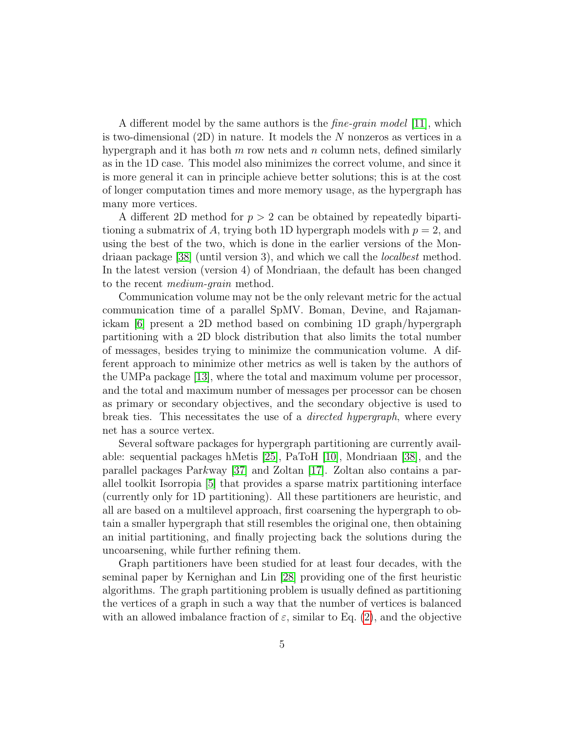A different model by the same authors is the *fine-grain model* [\[11\]](#page-30-1), which is two-dimensional (2D) in nature. It models the N nonzeros as vertices in a hypergraph and it has both  $m$  row nets and  $n$  column nets, defined similarly as in the 1D case. This model also minimizes the correct volume, and since it is more general it can in principle achieve better solutions; this is at the cost of longer computation times and more memory usage, as the hypergraph has many more vertices.

A different 2D method for  $p > 2$  can be obtained by repeatedly bipartitioning a submatrix of A, trying both 1D hypergraph models with  $p = 2$ , and using the best of the two, which is done in the earlier versions of the Mondriaan package [\[38\]](#page-32-2) (until version 3), and which we call the localbest method. In the latest version (version 4) of Mondriaan, the default has been changed to the recent medium-grain method.

Communication volume may not be the only relevant metric for the actual communication time of a parallel SpMV. Boman, Devine, and Rajamanickam [\[6\]](#page-29-0) present a 2D method based on combining 1D graph/hypergraph partitioning with a 2D block distribution that also limits the total number of messages, besides trying to minimize the communication volume. A different approach to minimize other metrics as well is taken by the authors of the UMPa package [\[13\]](#page-30-2), where the total and maximum volume per processor, and the total and maximum number of messages per processor can be chosen as primary or secondary objectives, and the secondary objective is used to break ties. This necessitates the use of a directed hypergraph, where every net has a source vertex.

Several software packages for hypergraph partitioning are currently available: sequential packages hMetis [\[25\]](#page-31-0), PaToH [\[10\]](#page-30-0), Mondriaan [\[38\]](#page-32-2), and the parallel packages Parkway [\[37\]](#page-32-3) and Zoltan [\[17\]](#page-30-3). Zoltan also contains a parallel toolkit Isorropia [\[5\]](#page-29-1) that provides a sparse matrix partitioning interface (currently only for 1D partitioning). All these partitioners are heuristic, and all are based on a multilevel approach, first coarsening the hypergraph to obtain a smaller hypergraph that still resembles the original one, then obtaining an initial partitioning, and finally projecting back the solutions during the uncoarsening, while further refining them.

Graph partitioners have been studied for at least four decades, with the seminal paper by Kernighan and Lin [\[28\]](#page-31-1) providing one of the first heuristic algorithms. The graph partitioning problem is usually defined as partitioning the vertices of a graph in such a way that the number of vertices is balanced with an allowed imbalance fraction of  $\varepsilon$ , similar to Eq. [\(2\)](#page-1-0), and the objective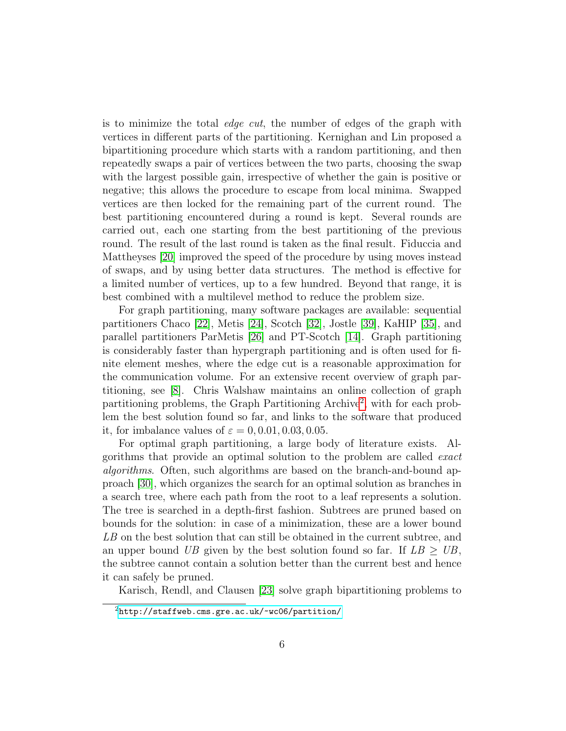is to minimize the total edge cut, the number of edges of the graph with vertices in different parts of the partitioning. Kernighan and Lin proposed a bipartitioning procedure which starts with a random partitioning, and then repeatedly swaps a pair of vertices between the two parts, choosing the swap with the largest possible gain, irrespective of whether the gain is positive or negative; this allows the procedure to escape from local minima. Swapped vertices are then locked for the remaining part of the current round. The best partitioning encountered during a round is kept. Several rounds are carried out, each one starting from the best partitioning of the previous round. The result of the last round is taken as the final result. Fiduccia and Mattheyses [\[20\]](#page-31-2) improved the speed of the procedure by using moves instead of swaps, and by using better data structures. The method is effective for a limited number of vertices, up to a few hundred. Beyond that range, it is best combined with a multilevel method to reduce the problem size.

For graph partitioning, many software packages are available: sequential partitioners Chaco [\[22\]](#page-31-3), Metis [\[24\]](#page-31-4), Scotch [\[32\]](#page-32-4), Jostle [\[39\]](#page-33-0), KaHIP [\[35\]](#page-32-5), and parallel partitioners ParMetis [\[26\]](#page-31-5) and PT-Scotch [\[14\]](#page-30-4). Graph partitioning is considerably faster than hypergraph partitioning and is often used for finite element meshes, where the edge cut is a reasonable approximation for the communication volume. For an extensive recent overview of graph partitioning, see [\[8\]](#page-30-5). Chris Walshaw maintains an online collection of graph partitioning problems, the Graph Partitioning Archive<sup>[2](#page-5-0)</sup>, with for each problem the best solution found so far, and links to the software that produced it, for imbalance values of  $\varepsilon = 0, 0.01, 0.03, 0.05$ .

For optimal graph partitioning, a large body of literature exists. Algorithms that provide an optimal solution to the problem are called exact algorithms. Often, such algorithms are based on the branch-and-bound approach [\[30\]](#page-32-6), which organizes the search for an optimal solution as branches in a search tree, where each path from the root to a leaf represents a solution. The tree is searched in a depth-first fashion. Subtrees are pruned based on bounds for the solution: in case of a minimization, these are a lower bound LB on the best solution that can still be obtained in the current subtree, and an upper bound UB given by the best solution found so far. If  $LB \geq UB$ , the subtree cannot contain a solution better than the current best and hence it can safely be pruned.

Karisch, Rendl, and Clausen [\[23\]](#page-31-6) solve graph bipartitioning problems to

<span id="page-5-0"></span> $^{2}$ <http://staffweb.cms.gre.ac.uk/~wc06/partition/>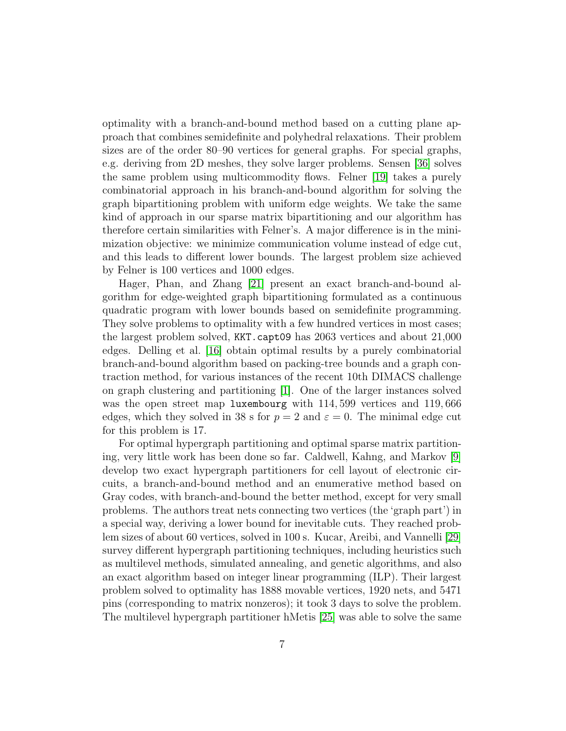optimality with a branch-and-bound method based on a cutting plane approach that combines semidefinite and polyhedral relaxations. Their problem sizes are of the order 80–90 vertices for general graphs. For special graphs, e.g. deriving from 2D meshes, they solve larger problems. Sensen [\[36\]](#page-32-7) solves the same problem using multicommodity flows. Felner [\[19\]](#page-31-7) takes a purely combinatorial approach in his branch-and-bound algorithm for solving the graph bipartitioning problem with uniform edge weights. We take the same kind of approach in our sparse matrix bipartitioning and our algorithm has therefore certain similarities with Felner's. A major difference is in the minimization objective: we minimize communication volume instead of edge cut, and this leads to different lower bounds. The largest problem size achieved by Felner is 100 vertices and 1000 edges.

Hager, Phan, and Zhang [\[21\]](#page-31-8) present an exact branch-and-bound algorithm for edge-weighted graph bipartitioning formulated as a continuous quadratic program with lower bounds based on semidefinite programming. They solve problems to optimality with a few hundred vertices in most cases; the largest problem solved, KKT.capt09 has 2063 vertices and about 21,000 edges. Delling et al. [\[16\]](#page-30-6) obtain optimal results by a purely combinatorial branch-and-bound algorithm based on packing-tree bounds and a graph contraction method, for various instances of the recent 10th DIMACS challenge on graph clustering and partitioning [\[1\]](#page-29-2). One of the larger instances solved was the open street map luxembourg with 114, 599 vertices and 119, 666 edges, which they solved in 38 s for  $p = 2$  and  $\varepsilon = 0$ . The minimal edge cut for this problem is 17.

For optimal hypergraph partitioning and optimal sparse matrix partitioning, very little work has been done so far. Caldwell, Kahng, and Markov [\[9\]](#page-30-7) develop two exact hypergraph partitioners for cell layout of electronic circuits, a branch-and-bound method and an enumerative method based on Gray codes, with branch-and-bound the better method, except for very small problems. The authors treat nets connecting two vertices (the 'graph part') in a special way, deriving a lower bound for inevitable cuts. They reached problem sizes of about 60 vertices, solved in 100 s. Kucar, Areibi, and Vannelli [\[29\]](#page-32-8) survey different hypergraph partitioning techniques, including heuristics such as multilevel methods, simulated annealing, and genetic algorithms, and also an exact algorithm based on integer linear programming (ILP). Their largest problem solved to optimality has 1888 movable vertices, 1920 nets, and 5471 pins (corresponding to matrix nonzeros); it took 3 days to solve the problem. The multilevel hypergraph partitioner hMetis [\[25\]](#page-31-0) was able to solve the same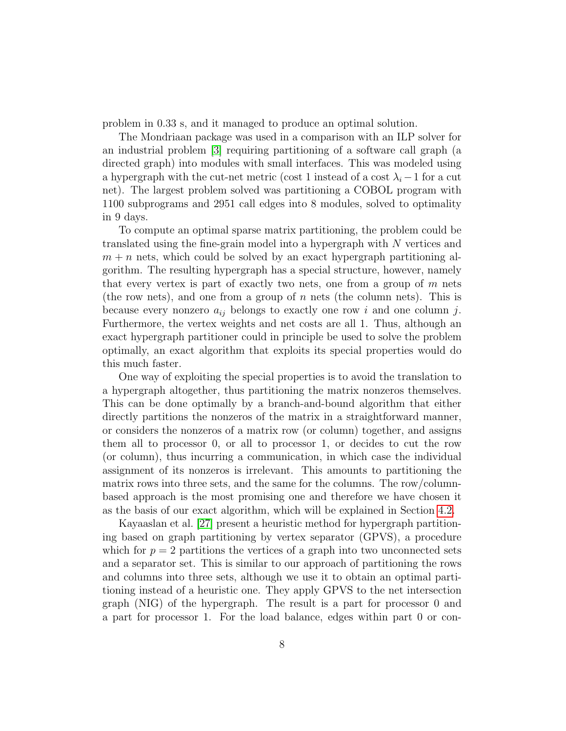problem in 0.33 s, and it managed to produce an optimal solution.

The Mondriaan package was used in a comparison with an ILP solver for an industrial problem [\[3\]](#page-29-3) requiring partitioning of a software call graph (a directed graph) into modules with small interfaces. This was modeled using a hypergraph with the cut-net metric (cost 1 instead of a cost  $\lambda_i - 1$  for a cut net). The largest problem solved was partitioning a COBOL program with 1100 subprograms and 2951 call edges into 8 modules, solved to optimality in 9 days.

To compute an optimal sparse matrix partitioning, the problem could be translated using the fine-grain model into a hypergraph with N vertices and  $m + n$  nets, which could be solved by an exact hypergraph partitioning algorithm. The resulting hypergraph has a special structure, however, namely that every vertex is part of exactly two nets, one from a group of  $m$  nets (the row nets), and one from a group of  $n$  nets (the column nets). This is because every nonzero  $a_{ij}$  belongs to exactly one row i and one column j. Furthermore, the vertex weights and net costs are all 1. Thus, although an exact hypergraph partitioner could in principle be used to solve the problem optimally, an exact algorithm that exploits its special properties would do this much faster.

One way of exploiting the special properties is to avoid the translation to a hypergraph altogether, thus partitioning the matrix nonzeros themselves. This can be done optimally by a branch-and-bound algorithm that either directly partitions the nonzeros of the matrix in a straightforward manner, or considers the nonzeros of a matrix row (or column) together, and assigns them all to processor 0, or all to processor 1, or decides to cut the row (or column), thus incurring a communication, in which case the individual assignment of its nonzeros is irrelevant. This amounts to partitioning the matrix rows into three sets, and the same for the columns. The row/columnbased approach is the most promising one and therefore we have chosen it as the basis of our exact algorithm, which will be explained in Section [4.2.](#page-12-0)

Kayaaslan et al. [\[27\]](#page-31-9) present a heuristic method for hypergraph partitioning based on graph partitioning by vertex separator (GPVS), a procedure which for  $p = 2$  partitions the vertices of a graph into two unconnected sets and a separator set. This is similar to our approach of partitioning the rows and columns into three sets, although we use it to obtain an optimal partitioning instead of a heuristic one. They apply GPVS to the net intersection graph (NIG) of the hypergraph. The result is a part for processor 0 and a part for processor 1. For the load balance, edges within part 0 or con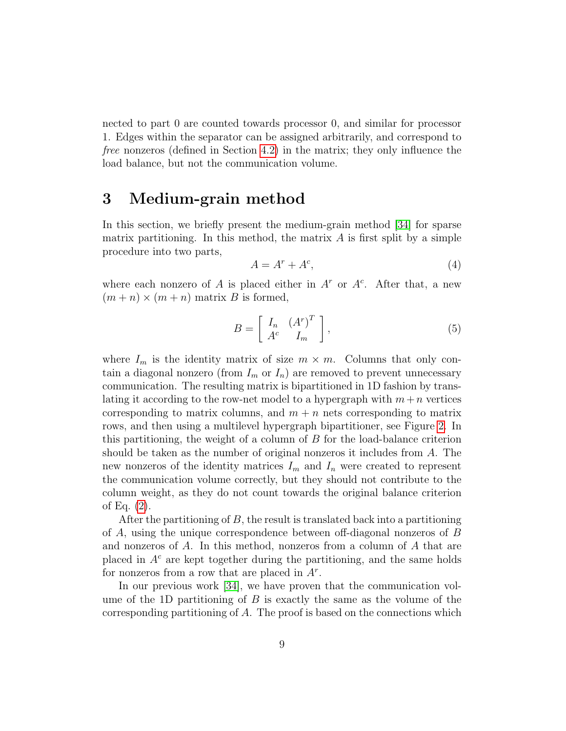nected to part 0 are counted towards processor 0, and similar for processor 1. Edges within the separator can be assigned arbitrarily, and correspond to free nonzeros (defined in Section [4.2\)](#page-12-0) in the matrix; they only influence the load balance, but not the communication volume.

### <span id="page-8-0"></span>3 Medium-grain method

In this section, we briefly present the medium-grain method [\[34\]](#page-32-1) for sparse matrix partitioning. In this method, the matrix  $A$  is first split by a simple procedure into two parts,

$$
A = A^r + A^c,\tag{4}
$$

where each nonzero of A is placed either in  $A^r$  or  $A^c$ . After that, a new  $(m+n) \times (m+n)$  matrix B is formed,

$$
B = \left[ \begin{array}{cc} I_n & \left( A^r \right)^T \\ A^c & I_m \end{array} \right],\tag{5}
$$

where  $I_m$  is the identity matrix of size  $m \times m$ . Columns that only contain a diagonal nonzero (from  $I_m$  or  $I_n$ ) are removed to prevent unnecessary communication. The resulting matrix is bipartitioned in 1D fashion by translating it according to the row-net model to a hypergraph with  $m+n$  vertices corresponding to matrix columns, and  $m + n$  nets corresponding to matrix rows, and then using a multilevel hypergraph bipartitioner, see Figure [2.](#page-9-0) In this partitioning, the weight of a column of B for the load-balance criterion should be taken as the number of original nonzeros it includes from A. The new nonzeros of the identity matrices  $I_m$  and  $I_n$  were created to represent the communication volume correctly, but they should not contribute to the column weight, as they do not count towards the original balance criterion of Eq. [\(2\)](#page-1-0).

After the partitioning of  $B$ , the result is translated back into a partitioning of A, using the unique correspondence between off-diagonal nonzeros of B and nonzeros of A. In this method, nonzeros from a column of A that are placed in  $A<sup>c</sup>$  are kept together during the partitioning, and the same holds for nonzeros from a row that are placed in  $A^r$ .

In our previous work [\[34\]](#page-32-1), we have proven that the communication volume of the 1D partitioning of  $B$  is exactly the same as the volume of the corresponding partitioning of A. The proof is based on the connections which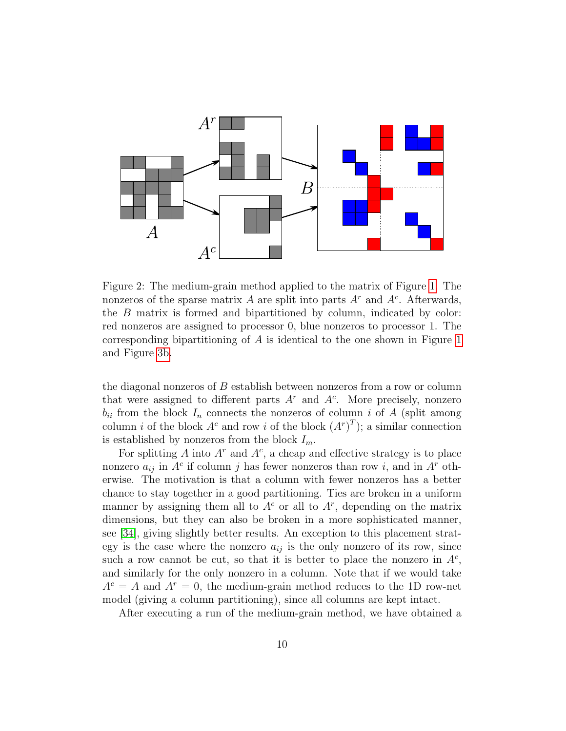<span id="page-9-0"></span>

Figure 2: The medium-grain method applied to the matrix of Figure [1.](#page-2-0) The nonzeros of the sparse matrix A are split into parts  $A<sup>r</sup>$  and  $A<sup>c</sup>$ . Afterwards, the B matrix is formed and bipartitioned by column, indicated by color: red nonzeros are assigned to processor 0, blue nonzeros to processor 1. The corresponding bipartitioning of A is identical to the one shown in Figure [1](#page-2-0) and Figure [3b.](#page-15-0)

the diagonal nonzeros of B establish between nonzeros from a row or column that were assigned to different parts  $A<sup>r</sup>$  and  $A<sup>c</sup>$ . More precisely, nonzero  $b_{ii}$  from the block  $I_n$  connects the nonzeros of column i of A (split among column *i* of the block  $A^c$  and row *i* of the block  $(A^r)^T$ ; a similar connection is established by nonzeros from the block  $I_m$ .

For splitting A into  $A^r$  and  $A^c$ , a cheap and effective strategy is to place nonzero  $a_{ij}$  in  $A^c$  if column j has fewer nonzeros than row i, and in  $A^r$  otherwise. The motivation is that a column with fewer nonzeros has a better chance to stay together in a good partitioning. Ties are broken in a uniform manner by assigning them all to  $A<sup>c</sup>$  or all to  $A<sup>r</sup>$ , depending on the matrix dimensions, but they can also be broken in a more sophisticated manner, see [\[34\]](#page-32-1), giving slightly better results. An exception to this placement strategy is the case where the nonzero  $a_{ij}$  is the only nonzero of its row, since such a row cannot be cut, so that it is better to place the nonzero in  $A<sup>c</sup>$ , and similarly for the only nonzero in a column. Note that if we would take  $A<sup>c</sup> = A$  and  $A<sup>r</sup> = 0$ , the medium-grain method reduces to the 1D row-net model (giving a column partitioning), since all columns are kept intact.

After executing a run of the medium-grain method, we have obtained a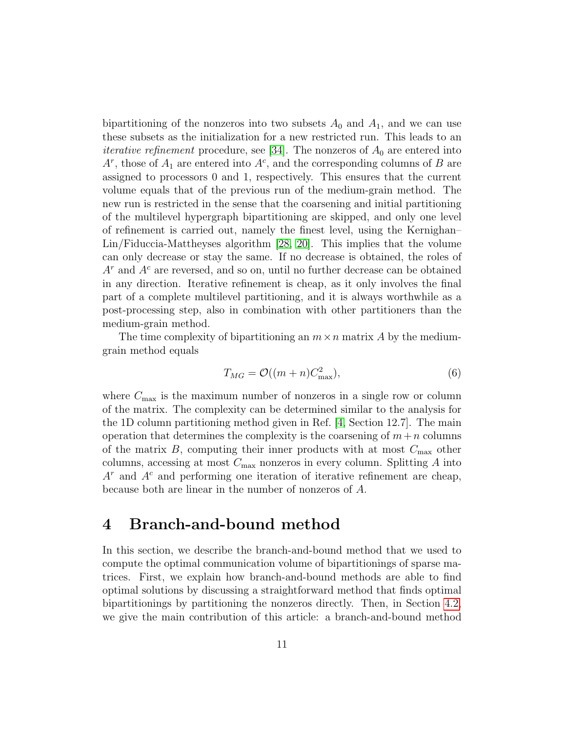bipartitioning of the nonzeros into two subsets  $A_0$  and  $A_1$ , and we can use these subsets as the initialization for a new restricted run. This leads to an *iterative refinement* procedure, see [\[34\]](#page-32-1). The nonzeros of  $A_0$  are entered into  $A^r$ , those of  $A_1$  are entered into  $A^c$ , and the corresponding columns of B are assigned to processors 0 and 1, respectively. This ensures that the current volume equals that of the previous run of the medium-grain method. The new run is restricted in the sense that the coarsening and initial partitioning of the multilevel hypergraph bipartitioning are skipped, and only one level of refinement is carried out, namely the finest level, using the Kernighan– Lin/Fiduccia-Mattheyses algorithm [\[28,](#page-31-1) [20\]](#page-31-2). This implies that the volume can only decrease or stay the same. If no decrease is obtained, the roles of  $A<sup>r</sup>$  and  $A<sup>c</sup>$  are reversed, and so on, until no further decrease can be obtained in any direction. Iterative refinement is cheap, as it only involves the final part of a complete multilevel partitioning, and it is always worthwhile as a post-processing step, also in combination with other partitioners than the medium-grain method.

The time complexity of bipartitioning an  $m \times n$  matrix A by the mediumgrain method equals

$$
T_{MG} = \mathcal{O}((m+n)C_{\text{max}}^2),\tag{6}
$$

where  $C_{\text{max}}$  is the maximum number of nonzeros in a single row or column of the matrix. The complexity can be determined similar to the analysis for the 1D column partitioning method given in Ref. [\[4,](#page-29-4) Section 12.7]. The main operation that determines the complexity is the coarsening of  $m+n$  columns of the matrix  $B$ , computing their inner products with at most  $C_{\text{max}}$  other columns, accessing at most  $C_{\text{max}}$  nonzeros in every column. Splitting A into  $A<sup>r</sup>$  and  $A<sup>c</sup>$  and performing one iteration of iterative refinement are cheap, because both are linear in the number of nonzeros of A.

### 4 Branch-and-bound method

In this section, we describe the branch-and-bound method that we used to compute the optimal communication volume of bipartitionings of sparse matrices. First, we explain how branch-and-bound methods are able to find optimal solutions by discussing a straightforward method that finds optimal bipartitionings by partitioning the nonzeros directly. Then, in Section [4.2,](#page-12-0) we give the main contribution of this article: a branch-and-bound method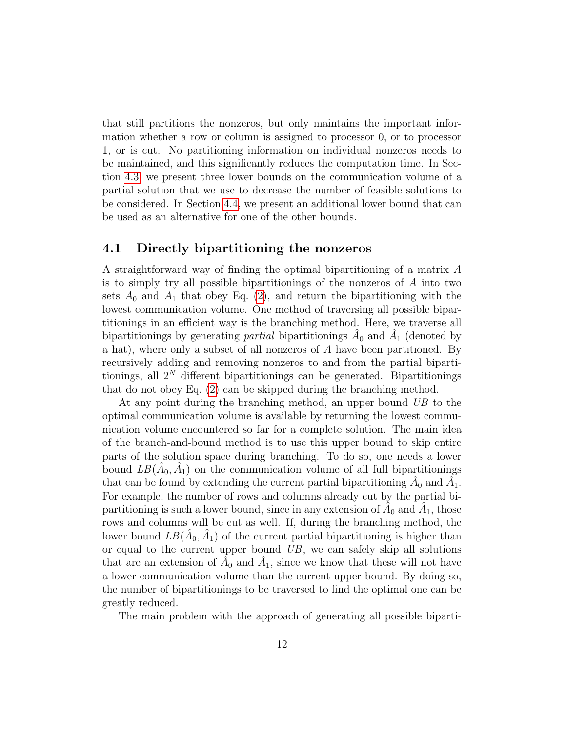that still partitions the nonzeros, but only maintains the important information whether a row or column is assigned to processor 0, or to processor 1, or is cut. No partitioning information on individual nonzeros needs to be maintained, and this significantly reduces the computation time. In Section [4.3,](#page-14-0) we present three lower bounds on the communication volume of a partial solution that we use to decrease the number of feasible solutions to be considered. In Section [4.4,](#page-17-0) we present an additional lower bound that can be used as an alternative for one of the other bounds.

### 4.1 Directly bipartitioning the nonzeros

A straightforward way of finding the optimal bipartitioning of a matrix A is to simply try all possible bipartitionings of the nonzeros of A into two sets  $A_0$  and  $A_1$  that obey Eq. [\(2\)](#page-1-0), and return the bipartitioning with the lowest communication volume. One method of traversing all possible bipartitionings in an efficient way is the branching method. Here, we traverse all bipartitionings by generating *partial* bipartitionings  $\hat{A}_0$  and  $\hat{A}_1$  (denoted by a hat), where only a subset of all nonzeros of A have been partitioned. By recursively adding and removing nonzeros to and from the partial bipartitionings, all  $2^N$  different bipartitionings can be generated. Bipartitionings that do not obey Eq. [\(2\)](#page-1-0) can be skipped during the branching method.

At any point during the branching method, an upper bound UB to the optimal communication volume is available by returning the lowest communication volume encountered so far for a complete solution. The main idea of the branch-and-bound method is to use this upper bound to skip entire parts of the solution space during branching. To do so, one needs a lower bound  $LB(\hat{A}_0, \hat{A}_1)$  on the communication volume of all full bipartitionings that can be found by extending the current partial bipartitioning  $\hat{A}_0$  and  $\hat{A}_1$ . For example, the number of rows and columns already cut by the partial bipartitioning is such a lower bound, since in any extension of  $\hat{A}_0$  and  $\hat{A}_1$ , those rows and columns will be cut as well. If, during the branching method, the lower bound  $LB(\hat{A}_0, \hat{A}_1)$  of the current partial bipartitioning is higher than or equal to the current upper bound  $UB$ , we can safely skip all solutions that are an extension of  $\hat{A}_0$  and  $\hat{A}_1$ , since we know that these will not have a lower communication volume than the current upper bound. By doing so, the number of bipartitionings to be traversed to find the optimal one can be greatly reduced.

The main problem with the approach of generating all possible biparti-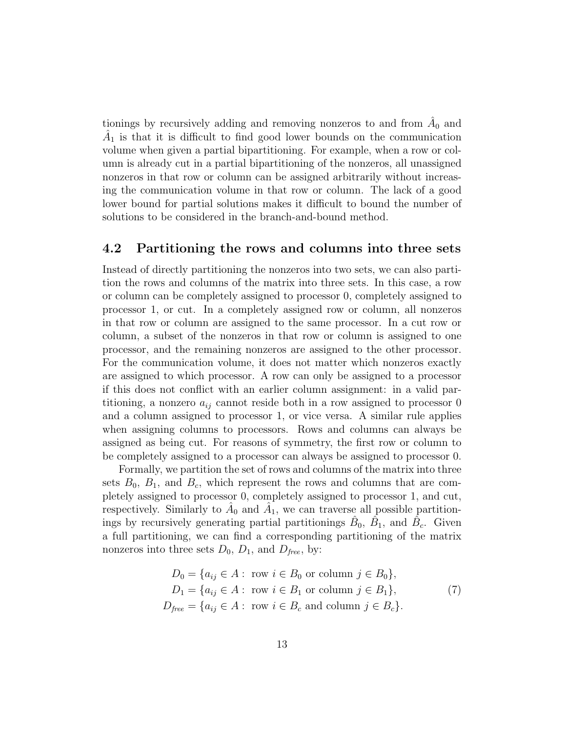tionings by recursively adding and removing nonzeros to and from  $\hat{A}_0$  and  $\hat{A}_1$  is that it is difficult to find good lower bounds on the communication volume when given a partial bipartitioning. For example, when a row or column is already cut in a partial bipartitioning of the nonzeros, all unassigned nonzeros in that row or column can be assigned arbitrarily without increasing the communication volume in that row or column. The lack of a good lower bound for partial solutions makes it difficult to bound the number of solutions to be considered in the branch-and-bound method.

#### <span id="page-12-0"></span>4.2 Partitioning the rows and columns into three sets

Instead of directly partitioning the nonzeros into two sets, we can also partition the rows and columns of the matrix into three sets. In this case, a row or column can be completely assigned to processor 0, completely assigned to processor 1, or cut. In a completely assigned row or column, all nonzeros in that row or column are assigned to the same processor. In a cut row or column, a subset of the nonzeros in that row or column is assigned to one processor, and the remaining nonzeros are assigned to the other processor. For the communication volume, it does not matter which nonzeros exactly are assigned to which processor. A row can only be assigned to a processor if this does not conflict with an earlier column assignment: in a valid partitioning, a nonzero  $a_{ij}$  cannot reside both in a row assigned to processor 0 and a column assigned to processor 1, or vice versa. A similar rule applies when assigning columns to processors. Rows and columns can always be assigned as being cut. For reasons of symmetry, the first row or column to be completely assigned to a processor can always be assigned to processor 0.

Formally, we partition the set of rows and columns of the matrix into three sets  $B_0$ ,  $B_1$ , and  $B_c$ , which represent the rows and columns that are completely assigned to processor 0, completely assigned to processor 1, and cut, respectively. Similarly to  $\hat{A}_0$  and  $\hat{A}_1$ , we can traverse all possible partitionings by recursively generating partial partitionings  $\hat{B}_0$ ,  $\hat{B}_1$ , and  $\hat{B}_c$ . Given a full partitioning, we can find a corresponding partitioning of the matrix nonzeros into three sets  $D_0$ ,  $D_1$ , and  $D_{free}$ , by:

$$
D_0 = \{a_{ij} \in A : \text{ row } i \in B_0 \text{ or column } j \in B_0\},
$$
  
\n
$$
D_1 = \{a_{ij} \in A : \text{ row } i \in B_1 \text{ or column } j \in B_1\},
$$
  
\n
$$
D_{\text{free}} = \{a_{ij} \in A : \text{ row } i \in B_c \text{ and column } j \in B_c\}.
$$
\n(7)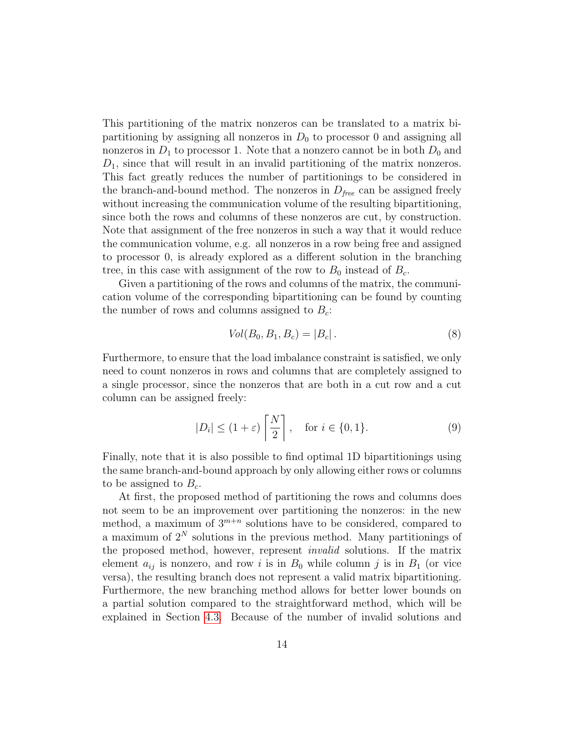This partitioning of the matrix nonzeros can be translated to a matrix bipartitioning by assigning all nonzeros in  $D_0$  to processor 0 and assigning all nonzeros in  $D_1$  to processor 1. Note that a nonzero cannot be in both  $D_0$  and  $D_1$ , since that will result in an invalid partitioning of the matrix nonzeros. This fact greatly reduces the number of partitionings to be considered in the branch-and-bound method. The nonzeros in  $D_{free}$  can be assigned freely without increasing the communication volume of the resulting bipartitioning, since both the rows and columns of these nonzeros are cut, by construction. Note that assignment of the free nonzeros in such a way that it would reduce the communication volume, e.g. all nonzeros in a row being free and assigned to processor 0, is already explored as a different solution in the branching tree, in this case with assignment of the row to  $B_0$  instead of  $B_c$ .

Given a partitioning of the rows and columns of the matrix, the communication volume of the corresponding bipartitioning can be found by counting the number of rows and columns assigned to  $B_c$ :

<span id="page-13-0"></span>
$$
Vol(B_0, B_1, B_c) = |B_c|.
$$
 (8)

Furthermore, to ensure that the load imbalance constraint is satisfied, we only need to count nonzeros in rows and columns that are completely assigned to a single processor, since the nonzeros that are both in a cut row and a cut column can be assigned freely:

$$
|D_i| \le (1+\varepsilon) \left[ \frac{N}{2} \right], \quad \text{for } i \in \{0, 1\}. \tag{9}
$$

Finally, note that it is also possible to find optimal 1D bipartitionings using the same branch-and-bound approach by only allowing either rows or columns to be assigned to  $B<sub>c</sub>$ .

At first, the proposed method of partitioning the rows and columns does not seem to be an improvement over partitioning the nonzeros: in the new method, a maximum of  $3^{m+n}$  solutions have to be considered, compared to a maximum of  $2^N$  solutions in the previous method. Many partitionings of the proposed method, however, represent invalid solutions. If the matrix element  $a_{ij}$  is nonzero, and row i is in  $B_0$  while column j is in  $B_1$  (or vice versa), the resulting branch does not represent a valid matrix bipartitioning. Furthermore, the new branching method allows for better lower bounds on a partial solution compared to the straightforward method, which will be explained in Section [4.3.](#page-14-0) Because of the number of invalid solutions and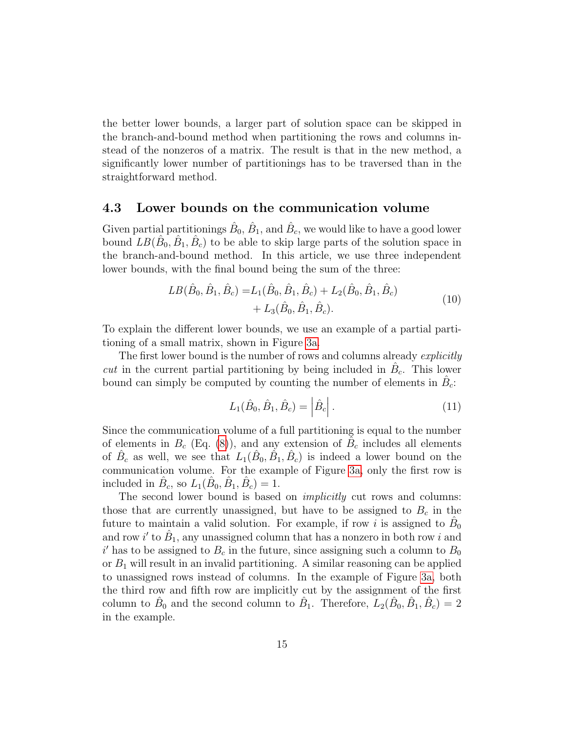the better lower bounds, a larger part of solution space can be skipped in the branch-and-bound method when partitioning the rows and columns instead of the nonzeros of a matrix. The result is that in the new method, a significantly lower number of partitionings has to be traversed than in the straightforward method.

#### <span id="page-14-0"></span>4.3 Lower bounds on the communication volume

Given partial partitionings  $\hat{B}_0$ ,  $\hat{B}_1$ , and  $\hat{B}_c$ , we would like to have a good lower bound  $LB(\hat{B}_0, \hat{B}_1, \hat{B}_c)$  to be able to skip large parts of the solution space in the branch-and-bound method. In this article, we use three independent lower bounds, with the final bound being the sum of the three:

$$
LB(\hat{B}_0, \hat{B}_1, \hat{B}_c) = L_1(\hat{B}_0, \hat{B}_1, \hat{B}_c) + L_2(\hat{B}_0, \hat{B}_1, \hat{B}_c) + L_3(\hat{B}_0, \hat{B}_1, \hat{B}_c).
$$
\n(10)

To explain the different lower bounds, we use an example of a partial partitioning of a small matrix, shown in Figure [3a.](#page-15-0)

The first lower bound is the number of rows and columns already explicitly cut in the current partial partitioning by being included in  $\hat{B}_c$ . This lower bound can simply be computed by counting the number of elements in  $\hat{B}_c$ :

<span id="page-14-1"></span>
$$
L_1(\hat{B}_0, \hat{B}_1, \hat{B}_c) = |\hat{B}_c|.
$$
 (11)

Since the communication volume of a full partitioning is equal to the number of elements in  $B_c$  (Eq. [\(8\)](#page-13-0)), and any extension of  $\tilde{B}_c$  includes all elements of  $\hat{B}_c$  as well, we see that  $L_1(\hat{B}_0, \hat{B}_1, \hat{B}_c)$  is indeed a lower bound on the communication volume. For the example of Figure [3a,](#page-15-0) only the first row is included in  $\hat{B}_c$ , so  $L_1(\hat{B}_0, \hat{B}_1, \hat{B}_c) = 1$ .

The second lower bound is based on *implicitly* cut rows and columns: those that are currently unassigned, but have to be assigned to  $B<sub>c</sub>$  in the future to maintain a valid solution. For example, if row *i* is assigned to  $\hat{B}_0$ and row i' to  $\hat{B}_1$ , any unassigned column that has a nonzero in both row i and  $i'$  has to be assigned to  $B_c$  in the future, since assigning such a column to  $B_0$ or  $B_1$  will result in an invalid partitioning. A similar reasoning can be applied to unassigned rows instead of columns. In the example of Figure [3a,](#page-15-0) both the third row and fifth row are implicitly cut by the assignment of the first column to  $\hat{B}_0$  and the second column to  $\hat{B}_1$ . Therefore,  $\hat{L}_2(\hat{B}_0, \hat{B}_1, \hat{B}_c) = 2$ in the example.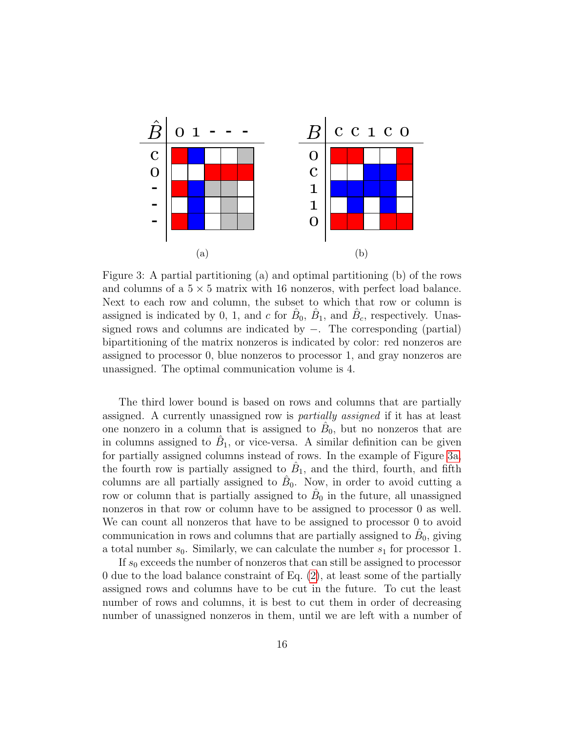<span id="page-15-0"></span>

Figure 3: A partial partitioning (a) and optimal partitioning (b) of the rows and columns of a  $5 \times 5$  matrix with 16 nonzeros, with perfect load balance. Next to each row and column, the subset to which that row or column is assigned is indicated by 0, 1, and c for  $\hat{B}_0$ ,  $\hat{B}_1$ , and  $\hat{B}_c$ , respectively. Unassigned rows and columns are indicated by −. The corresponding (partial) bipartitioning of the matrix nonzeros is indicated by color: red nonzeros are assigned to processor 0, blue nonzeros to processor 1, and gray nonzeros are unassigned. The optimal communication volume is 4.

The third lower bound is based on rows and columns that are partially assigned. A currently unassigned row is partially assigned if it has at least one nonzero in a column that is assigned to  $\hat{B}_0$ , but no nonzeros that are in columns assigned to  $\hat{B}_1$ , or vice-versa. A similar definition can be given for partially assigned columns instead of rows. In the example of Figure [3a,](#page-15-0) the fourth row is partially assigned to  $\hat{B}_1$ , and the third, fourth, and fifth columns are all partially assigned to  $\hat{B}_0$ . Now, in order to avoid cutting a row or column that is partially assigned to  $\hat{B}_0$  in the future, all unassigned nonzeros in that row or column have to be assigned to processor 0 as well. We can count all nonzeros that have to be assigned to processor 0 to avoid communication in rows and columns that are partially assigned to  $\hat{B}_0$ , giving a total number  $s_0$ . Similarly, we can calculate the number  $s_1$  for processor 1.

If  $s_0$  exceeds the number of nonzeros that can still be assigned to processor 0 due to the load balance constraint of Eq. [\(2\)](#page-1-0), at least some of the partially assigned rows and columns have to be cut in the future. To cut the least number of rows and columns, it is best to cut them in order of decreasing number of unassigned nonzeros in them, until we are left with a number of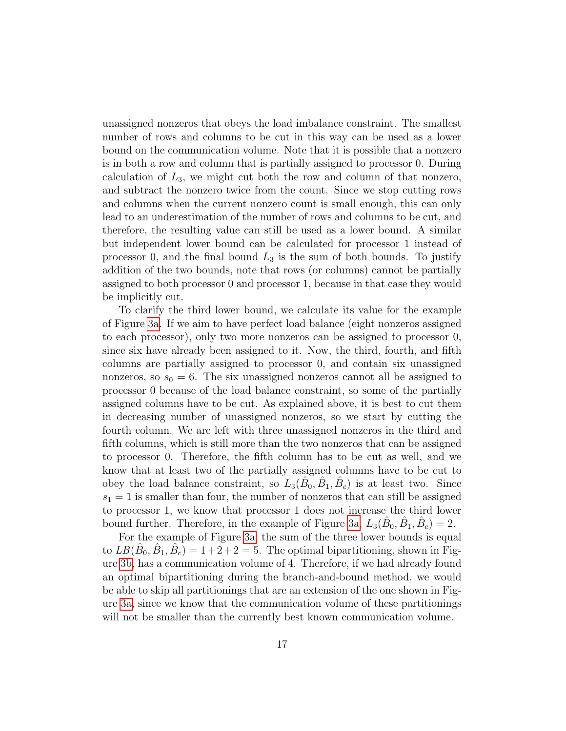unassigned nonzeros that obeys the load imbalance constraint. The smallest number of rows and columns to be cut in this way can be used as a lower bound on the communication volume. Note that it is possible that a nonzero is in both a row and column that is partially assigned to processor 0. During calculation of  $L_3$ , we might cut both the row and column of that nonzero, and subtract the nonzero twice from the count. Since we stop cutting rows and columns when the current nonzero count is small enough, this can only lead to an underestimation of the number of rows and columns to be cut, and therefore, the resulting value can still be used as a lower bound. A similar but independent lower bound can be calculated for processor 1 instead of processor 0, and the final bound  $L_3$  is the sum of both bounds. To justify addition of the two bounds, note that rows (or columns) cannot be partially assigned to both processor 0 and processor 1, because in that case they would be implicitly cut.

To clarify the third lower bound, we calculate its value for the example of Figure [3a.](#page-15-0) If we aim to have perfect load balance (eight nonzeros assigned to each processor), only two more nonzeros can be assigned to processor 0, since six have already been assigned to it. Now, the third, fourth, and fifth columns are partially assigned to processor 0, and contain six unassigned nonzeros, so  $s_0 = 6$ . The six unassigned nonzeros cannot all be assigned to processor 0 because of the load balance constraint, so some of the partially assigned columns have to be cut. As explained above, it is best to cut them in decreasing number of unassigned nonzeros, so we start by cutting the fourth column. We are left with three unassigned nonzeros in the third and fifth columns, which is still more than the two nonzeros that can be assigned to processor 0. Therefore, the fifth column has to be cut as well, and we know that at least two of the partially assigned columns have to be cut to obey the load balance constraint, so  $L_3(\hat{B}_0, \hat{B}_1, \hat{B}_c)$  is at least two. Since  $s_1 = 1$  is smaller than four, the number of nonzeros that can still be assigned to processor 1, we know that processor 1 does not increase the third lower bound further. Therefore, in the example of Figure [3a,](#page-15-0)  $L_3(\hat{B}_0, \hat{B}_1, \hat{B}_c) = 2$ .

For the example of Figure [3a,](#page-15-0) the sum of the three lower bounds is equal to  $LB(\hat{B}_0, \hat{B}_1, \hat{B}_c) = 1+2+2=5$ . The optimal bipartitioning, shown in Figure [3b,](#page-15-0) has a communication volume of 4. Therefore, if we had already found an optimal bipartitioning during the branch-and-bound method, we would be able to skip all partitionings that are an extension of the one shown in Figure [3a,](#page-15-0) since we know that the communication volume of these partitionings will not be smaller than the currently best known communication volume.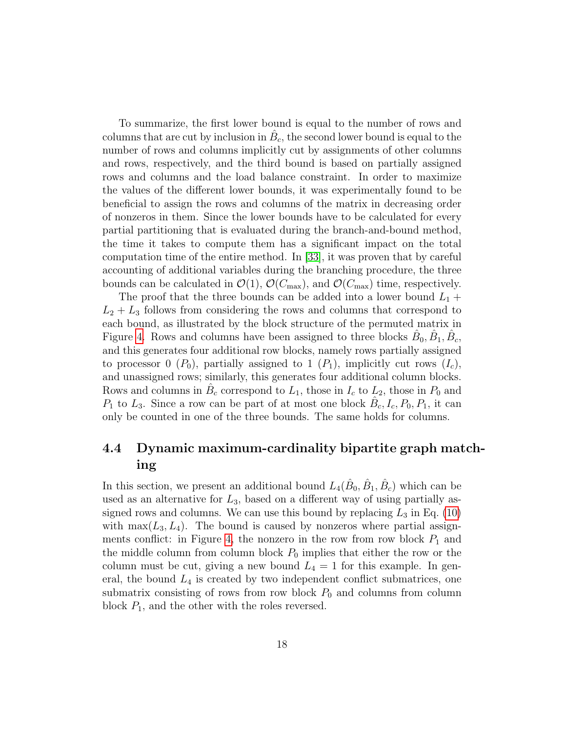To summarize, the first lower bound is equal to the number of rows and columns that are cut by inclusion in  $\hat{B}_c$ , the second lower bound is equal to the number of rows and columns implicitly cut by assignments of other columns and rows, respectively, and the third bound is based on partially assigned rows and columns and the load balance constraint. In order to maximize the values of the different lower bounds, it was experimentally found to be beneficial to assign the rows and columns of the matrix in decreasing order of nonzeros in them. Since the lower bounds have to be calculated for every partial partitioning that is evaluated during the branch-and-bound method, the time it takes to compute them has a significant impact on the total computation time of the entire method. In [\[33\]](#page-32-9), it was proven that by careful accounting of additional variables during the branching procedure, the three bounds can be calculated in  $\mathcal{O}(1)$ ,  $\mathcal{O}(C_{\text{max}})$ , and  $\mathcal{O}(C_{\text{max}})$  time, respectively.

The proof that the three bounds can be added into a lower bound  $L_1$  +  $L_2 + L_3$  follows from considering the rows and columns that correspond to each bound, as illustrated by the block structure of the permuted matrix in Figure [4.](#page-18-0) Rows and columns have been assigned to three blocks  $\hat{B}_0$ ,  $\hat{B}_1$ ,  $\hat{B}_c$ , and this generates four additional row blocks, namely rows partially assigned to processor 0 ( $P_0$ ), partially assigned to 1 ( $P_1$ ), implicitly cut rows ( $I_c$ ), and unassigned rows; similarly, this generates four additional column blocks. Rows and columns in  $\hat{B}_c$  correspond to  $L_1$ , those in  $I_c$  to  $L_2$ , those in  $P_0$  and  $P_1$  to  $L_3$ . Since a row can be part of at most one block  $\hat{B}_c, I_c, P_0, P_1$ , it can only be counted in one of the three bounds. The same holds for columns.

### <span id="page-17-0"></span>4.4 Dynamic maximum-cardinality bipartite graph matching

In this section, we present an additional bound  $L_4(\hat{B}_0, \hat{B}_1, \hat{B}_c)$  which can be used as an alternative for  $L_3$ , based on a different way of using partially assigned rows and columns. We can use this bound by replacing  $L_3$  in Eq. [\(10\)](#page-14-1) with  $\max(L_3, L_4)$ . The bound is caused by nonzeros where partial assign-ments conflict: in Figure [4,](#page-18-0) the nonzero in the row from row block  $P_1$  and the middle column from column block  $P_0$  implies that either the row or the column must be cut, giving a new bound  $L_4 = 1$  for this example. In general, the bound  $L_4$  is created by two independent conflict submatrices, one submatrix consisting of rows from row block  $P_0$  and columns from column block  $P_1$ , and the other with the roles reversed.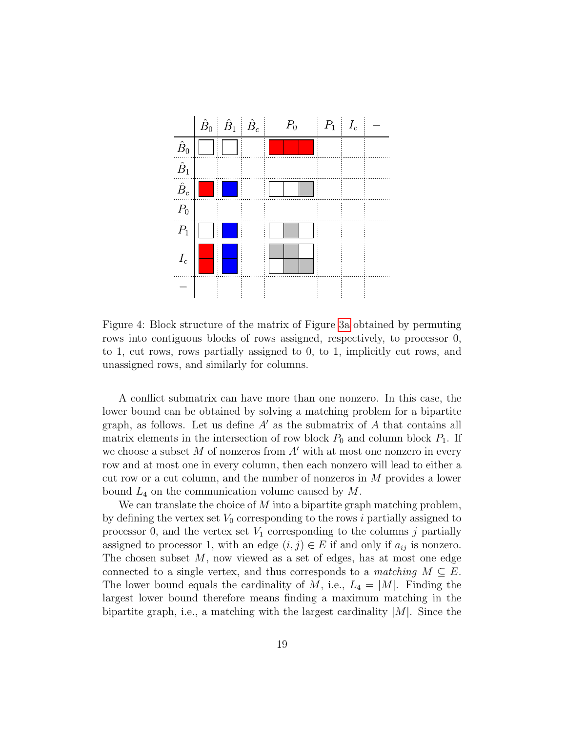<span id="page-18-0"></span>

Figure 4: Block structure of the matrix of Figure [3a](#page-15-0) obtained by permuting rows into contiguous blocks of rows assigned, respectively, to processor 0, to 1, cut rows, rows partially assigned to 0, to 1, implicitly cut rows, and unassigned rows, and similarly for columns.

A conflict submatrix can have more than one nonzero. In this case, the lower bound can be obtained by solving a matching problem for a bipartite graph, as follows. Let us define  $A'$  as the submatrix of A that contains all matrix elements in the intersection of row block  $P_0$  and column block  $P_1$ . If we choose a subset  $M$  of nonzeros from  $A'$  with at most one nonzero in every row and at most one in every column, then each nonzero will lead to either a cut row or a cut column, and the number of nonzeros in M provides a lower bound  $L_4$  on the communication volume caused by  $M$ .

We can translate the choice of  $M$  into a bipartite graph matching problem, by defining the vertex set  $V_0$  corresponding to the rows i partially assigned to processor 0, and the vertex set  $V_1$  corresponding to the columns j partially assigned to processor 1, with an edge  $(i, j) \in E$  if and only if  $a_{ij}$  is nonzero. The chosen subset M, now viewed as a set of edges, has at most one edge connected to a single vertex, and thus corresponds to a matching  $M \subseteq E$ . The lower bound equals the cardinality of M, i.e.,  $L_4 = |M|$ . Finding the largest lower bound therefore means finding a maximum matching in the bipartite graph, i.e., a matching with the largest cardinality  $|M|$ . Since the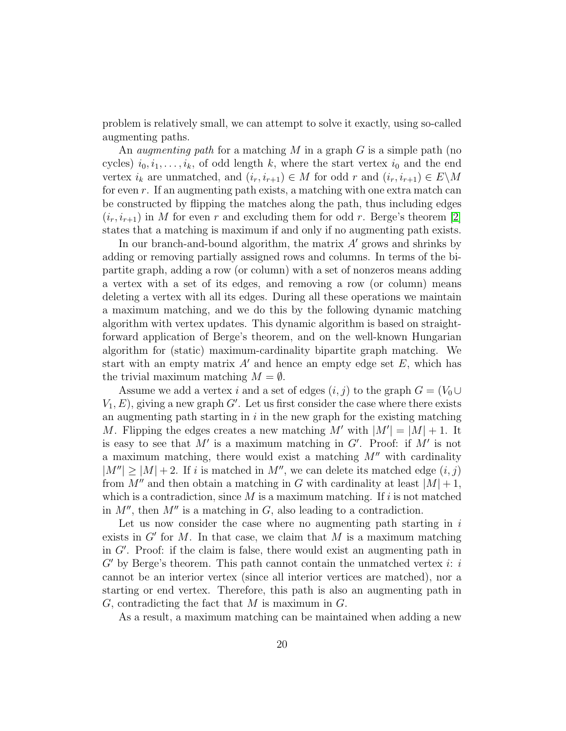problem is relatively small, we can attempt to solve it exactly, using so-called augmenting paths.

An *augmenting path* for a matching M in a graph G is a simple path (no cycles)  $i_0, i_1, \ldots, i_k$ , of odd length k, where the start vertex  $i_0$  and the end vertex  $i_k$  are unmatched, and  $(i_r, i_{r+1}) \in M$  for odd r and  $(i_r, i_{r+1}) \in E \backslash M$ for even  $r$ . If an augmenting path exists, a matching with one extra match can be constructed by flipping the matches along the path, thus including edges  $(i_r, i_{r+1})$  in M for even r and excluding them for odd r. Berge's theorem [\[2\]](#page-29-5) states that a matching is maximum if and only if no augmenting path exists.

In our branch-and-bound algorithm, the matrix  $A'$  grows and shrinks by adding or removing partially assigned rows and columns. In terms of the bipartite graph, adding a row (or column) with a set of nonzeros means adding a vertex with a set of its edges, and removing a row (or column) means deleting a vertex with all its edges. During all these operations we maintain a maximum matching, and we do this by the following dynamic matching algorithm with vertex updates. This dynamic algorithm is based on straightforward application of Berge's theorem, and on the well-known Hungarian algorithm for (static) maximum-cardinality bipartite graph matching. We start with an empty matrix  $A'$  and hence an empty edge set  $E$ , which has the trivial maximum matching  $M = \emptyset$ .

Assume we add a vertex i and a set of edges  $(i, j)$  to the graph  $G = (V_0 \cup$  $V_1, E$ ), giving a new graph  $G'$ . Let us first consider the case where there exists an augmenting path starting in  $i$  in the new graph for the existing matching M. Flipping the edges creates a new matching M' with  $|M'| = |M| + 1$ . It is easy to see that M' is a maximum matching in  $G'$ . Proof: if M' is not a maximum matching, there would exist a matching  $M''$  with cardinality  $|M''| \geq |M| + 2$ . If i is matched in M'', we can delete its matched edge  $(i, j)$ from M'' and then obtain a matching in G with cardinality at least  $|M|+1$ , which is a contradiction, since  $M$  is a maximum matching. If i is not matched in  $M''$ , then  $M''$  is a matching in G, also leading to a contradiction.

Let us now consider the case where no augmenting path starting in  $i$ exists in  $G'$  for M. In that case, we claim that M is a maximum matching in  $G'$ . Proof: if the claim is false, there would exist an augmenting path in  $G'$  by Berge's theorem. This path cannot contain the unmatched vertex i: i cannot be an interior vertex (since all interior vertices are matched), nor a starting or end vertex. Therefore, this path is also an augmenting path in  $G$ , contradicting the fact that  $M$  is maximum in  $G$ .

As a result, a maximum matching can be maintained when adding a new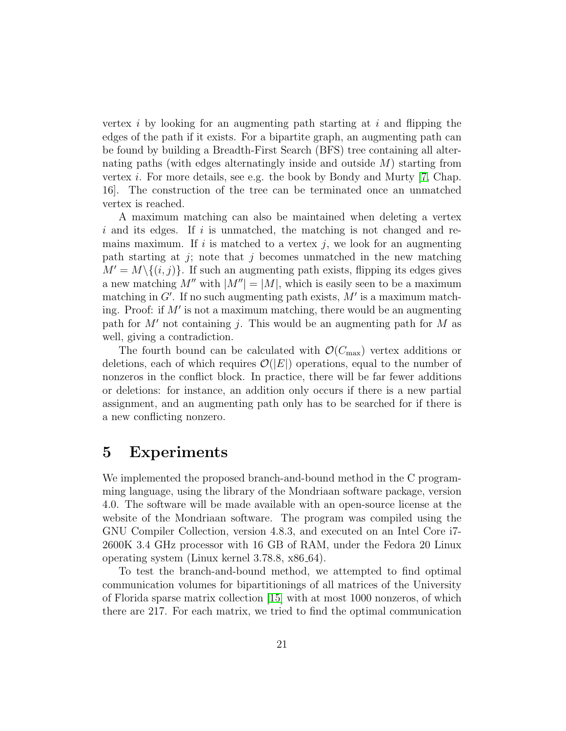vertex i by looking for an augmenting path starting at i and flipping the edges of the path if it exists. For a bipartite graph, an augmenting path can be found by building a Breadth-First Search (BFS) tree containing all alternating paths (with edges alternatingly inside and outside  $M$ ) starting from vertex *i*. For more details, see e.g. the book by Bondy and Murty  $(7, Chap.$ 16]. The construction of the tree can be terminated once an unmatched vertex is reached.

A maximum matching can also be maintained when deleting a vertex  $i$  and its edges. If i is unmatched, the matching is not changed and remains maximum. If i is matched to a vertex j, we look for an augmenting path starting at j; note that j becomes unmatched in the new matching  $M' = M \setminus \{(i, j)\}.$  If such an augmenting path exists, flipping its edges gives a new matching  $M''$  with  $|M''| = |M|$ , which is easily seen to be a maximum matching in  $G'$ . If no such augmenting path exists,  $M'$  is a maximum matching. Proof: if  $M'$  is not a maximum matching, there would be an augmenting path for  $M'$  not containing j. This would be an augmenting path for M as well, giving a contradiction.

The fourth bound can be calculated with  $\mathcal{O}(C_{\text{max}})$  vertex additions or deletions, each of which requires  $\mathcal{O}(|E|)$  operations, equal to the number of nonzeros in the conflict block. In practice, there will be far fewer additions or deletions: for instance, an addition only occurs if there is a new partial assignment, and an augmenting path only has to be searched for if there is a new conflicting nonzero.

### 5 Experiments

We implemented the proposed branch-and-bound method in the C programming language, using the library of the Mondriaan software package, version 4.0. The software will be made available with an open-source license at the website of the Mondriaan software. The program was compiled using the GNU Compiler Collection, version 4.8.3, and executed on an Intel Core i7- 2600K 3.4 GHz processor with 16 GB of RAM, under the Fedora 20 Linux operating system (Linux kernel 3.78.8, x86 64).

To test the branch-and-bound method, we attempted to find optimal communication volumes for bipartitionings of all matrices of the University of Florida sparse matrix collection [\[15\]](#page-30-8) with at most 1000 nonzeros, of which there are 217. For each matrix, we tried to find the optimal communication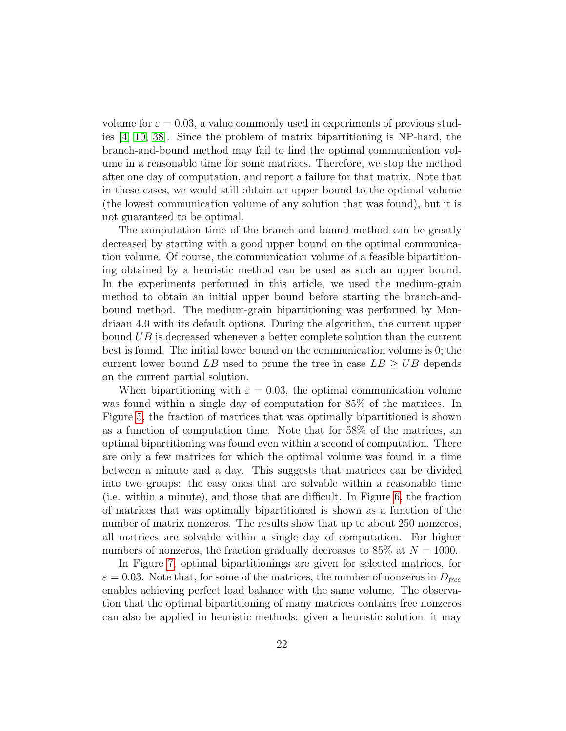volume for  $\varepsilon = 0.03$ , a value commonly used in experiments of previous studies [\[4,](#page-29-4) [10,](#page-30-0) [38\]](#page-32-2). Since the problem of matrix bipartitioning is NP-hard, the branch-and-bound method may fail to find the optimal communication volume in a reasonable time for some matrices. Therefore, we stop the method after one day of computation, and report a failure for that matrix. Note that in these cases, we would still obtain an upper bound to the optimal volume (the lowest communication volume of any solution that was found), but it is not guaranteed to be optimal.

The computation time of the branch-and-bound method can be greatly decreased by starting with a good upper bound on the optimal communication volume. Of course, the communication volume of a feasible bipartitioning obtained by a heuristic method can be used as such an upper bound. In the experiments performed in this article, we used the medium-grain method to obtain an initial upper bound before starting the branch-andbound method. The medium-grain bipartitioning was performed by Mondriaan 4.0 with its default options. During the algorithm, the current upper bound UB is decreased whenever a better complete solution than the current best is found. The initial lower bound on the communication volume is 0; the current lower bound LB used to prune the tree in case  $LB \geq UB$  depends on the current partial solution.

When bipartitioning with  $\varepsilon = 0.03$ , the optimal communication volume was found within a single day of computation for 85% of the matrices. In Figure [5,](#page-22-0) the fraction of matrices that was optimally bipartitioned is shown as a function of computation time. Note that for 58% of the matrices, an optimal bipartitioning was found even within a second of computation. There are only a few matrices for which the optimal volume was found in a time between a minute and a day. This suggests that matrices can be divided into two groups: the easy ones that are solvable within a reasonable time (i.e. within a minute), and those that are difficult. In Figure [6,](#page-22-1) the fraction of matrices that was optimally bipartitioned is shown as a function of the number of matrix nonzeros. The results show that up to about 250 nonzeros, all matrices are solvable within a single day of computation. For higher numbers of nonzeros, the fraction gradually decreases to 85% at  $N = 1000$ .

In Figure [7,](#page-24-0) optimal bipartitionings are given for selected matrices, for  $\varepsilon = 0.03$ . Note that, for some of the matrices, the number of nonzeros in  $D_{free}$ enables achieving perfect load balance with the same volume. The observation that the optimal bipartitioning of many matrices contains free nonzeros can also be applied in heuristic methods: given a heuristic solution, it may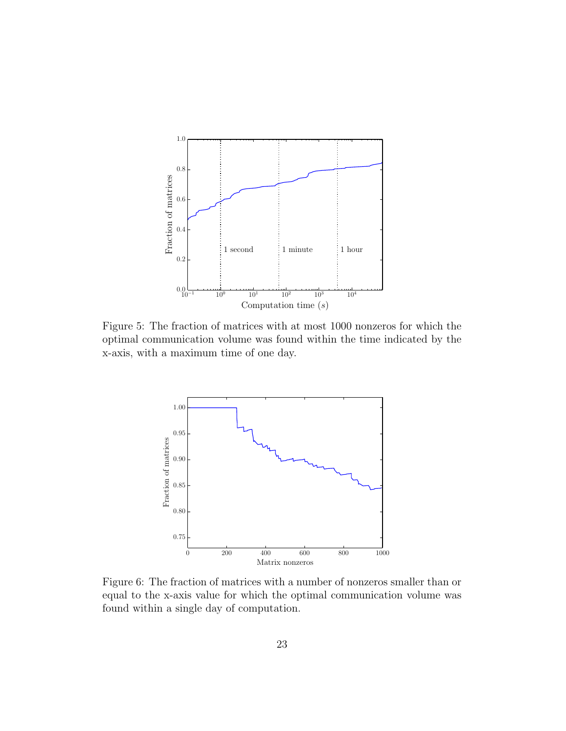<span id="page-22-0"></span>

Figure 5: The fraction of matrices with at most 1000 nonzeros for which the optimal communication volume was found within the time indicated by the x-axis, with a maximum time of one day.

<span id="page-22-1"></span>

Figure 6: The fraction of matrices with a number of nonzeros smaller than or equal to the x-axis value for which the optimal communication volume was found within a single day of computation.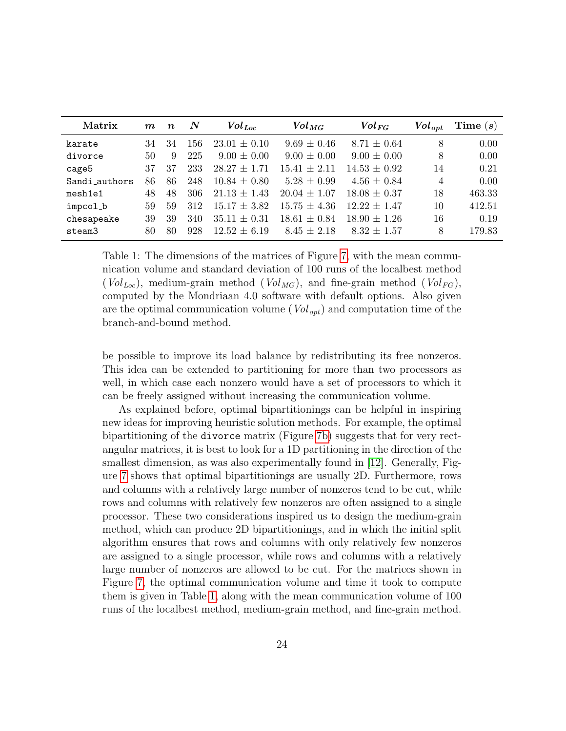<span id="page-23-0"></span>

| Matrix        | $\bm{m}$ | $\boldsymbol{n}$ | N   | $Vol_{Loc}$      | $Vol_{MG}$       | $Vol_{FG}$       | $Vol_{\mathit{opt}}$ | Time $(s)$ |
|---------------|----------|------------------|-----|------------------|------------------|------------------|----------------------|------------|
| karate        | 34       | 34               | 156 | $23.01 \pm 0.10$ | $9.69 \pm 0.46$  | $8.71 \pm 0.64$  | 8                    | 0.00       |
| divorce       | 50       | 9                | 225 | $9.00 \pm 0.00$  | $9.00 \pm 0.00$  | $9.00 \pm 0.00$  | 8                    | 0.00       |
| cage5         | 37       | 37               | 233 | $28.27 \pm 1.71$ | $15.41 \pm 2.11$ | $14.53 \pm 0.92$ | 14                   | 0.21       |
| Sandi_authors | 86       | 86               | 248 | $10.84 \pm 0.80$ | $5.28 \pm 0.99$  | $4.56 \pm 0.84$  | 4                    | 0.00       |
| mesh1e1       | 48       | 48               | 306 | $21.13 \pm 1.43$ | $20.04 \pm 1.07$ | $18.08 \pm 0.37$ | 18                   | 463.33     |
| impcol_b      | 59       | 59               | 312 | $15.17 \pm 3.82$ | $15.75 \pm 4.36$ | $12.22 \pm 1.47$ | 10                   | 412.51     |
| chesapeake    | 39       | 39               | 340 | $35.11 \pm 0.31$ | $18.61 \pm 0.84$ | $18.90 \pm 1.26$ | 16                   | 0.19       |
| steam3        | 80       | 80               | 928 | $12.52 + 6.19$   | $8.45 \pm 2.18$  | $8.32 \pm 1.57$  | 8                    | 179.83     |

Table 1: The dimensions of the matrices of Figure [7,](#page-24-0) with the mean communication volume and standard deviation of 100 runs of the localbest method  $(Vol_{Loc})$ , medium-grain method  $(Vol_{MG})$ , and fine-grain method  $(Vol_{FG})$ , computed by the Mondriaan 4.0 software with default options. Also given are the optimal communication volume ( $Vol_{opt}$ ) and computation time of the branch-and-bound method.

be possible to improve its load balance by redistributing its free nonzeros. This idea can be extended to partitioning for more than two processors as well, in which case each nonzero would have a set of processors to which it can be freely assigned without increasing the communication volume.

As explained before, optimal bipartitionings can be helpful in inspiring new ideas for improving heuristic solution methods. For example, the optimal bipartitioning of the divorce matrix (Figure [7b\)](#page-24-0) suggests that for very rectangular matrices, it is best to look for a 1D partitioning in the direction of the smallest dimension, as was also experimentally found in [\[12\]](#page-30-9). Generally, Figure [7](#page-24-0) shows that optimal bipartitionings are usually 2D. Furthermore, rows and columns with a relatively large number of nonzeros tend to be cut, while rows and columns with relatively few nonzeros are often assigned to a single processor. These two considerations inspired us to design the medium-grain method, which can produce 2D bipartitionings, and in which the initial split algorithm ensures that rows and columns with only relatively few nonzeros are assigned to a single processor, while rows and columns with a relatively large number of nonzeros are allowed to be cut. For the matrices shown in Figure [7,](#page-24-0) the optimal communication volume and time it took to compute them is given in Table [1,](#page-23-0) along with the mean communication volume of 100 runs of the localbest method, medium-grain method, and fine-grain method.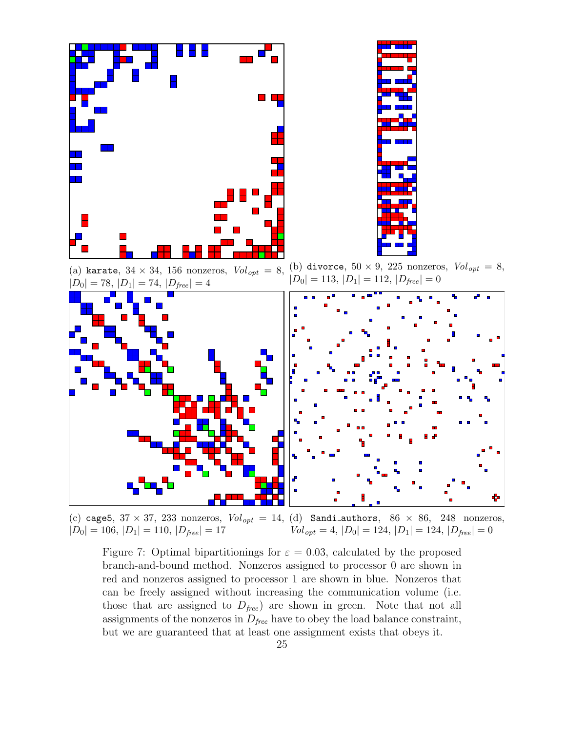<span id="page-24-0"></span>

(a) karate,  $34 \times 34$ , 156 nonzeros,  $Vol_{opt} = 8$ ,  $|D_0|=78,\,|D_1|=74,\,|D_{free}|=4$ (b) divorce,  $50 \times 9$ , 225 nonzeros,  $Vol_{opt} = 8$ ,  $|D_0| = 113, |D_1| = 112, |D_{\text{free}}| = 0$ 



(c) cage5,  $37 \times 37$ ,  $233$  nonzeros,  $Vol_{opt} = 14$ , (d) Sandi authors,  $86 \times 86$ ,  $248$  nonzeros,  $|D_0| = 106, |D_1| = 110, |D_{free}| = 17$  $Vol_{opt} = 4, |D_0| = 124, |D_1| = 124, |D_{free}| = 0$ 

Figure 7: Optimal bipartitionings for  $\varepsilon = 0.03$ , calculated by the proposed branch-and-bound method. Nonzeros assigned to processor 0 are shown in red and nonzeros assigned to processor 1 are shown in blue. Nonzeros that can be freely assigned without increasing the communication volume (i.e. those that are assigned to  $D_{free}$  are shown in green. Note that not all assignments of the nonzeros in  $D_{free}$  have to obey the load balance constraint, but we are guaranteed that at least one assignment exists that obeys it.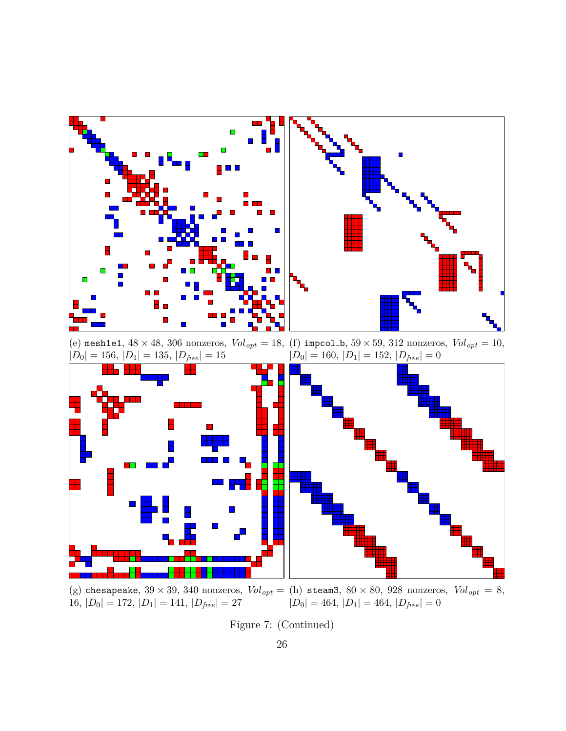

(g) chesapeake,  $39 \times 39$ ,  $340$  nonzeros,  $Vol_{opt} =$  $16, |D_0| = 172, |D_1| = 141, |D_{free}| = 27$ 

(h) steam3,  $80 \times 80$ , 928 nonzeros,  $Vol_{opt} = 8$ ,  $|D_0| = 464, |D_1| = 464, |D_{free}| = 0$ 

Figure 7: (Continued)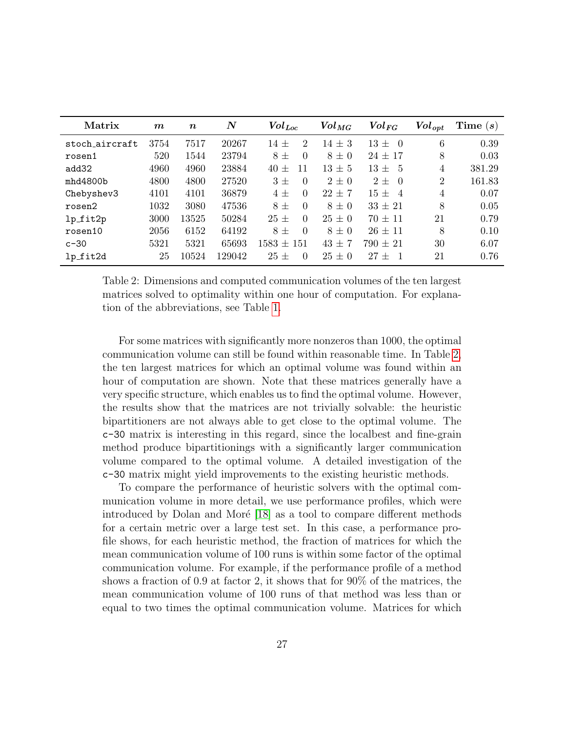<span id="page-26-0"></span>

| Matrix         | $\boldsymbol{m}$ | $\boldsymbol{n}$ | $\boldsymbol{N}$ | $\mathit{Vol}_{\mathit{Loc}}$ | $\mathit{Vol}_{MG}$ | $Vol_{FG}$               | $\mathit{Vol}_{\mathit{opt}}$ | Time $(s)$ |
|----------------|------------------|------------------|------------------|-------------------------------|---------------------|--------------------------|-------------------------------|------------|
| stoch aircraft | 3754             | 7517             | 20267            | $14 +$<br>$\overline{2}$      | $14 \pm 3$          | $13 \pm$<br>$\Omega$     | 6                             | 0.39       |
| rosen1         | 520              | 1544             | 23794            | $8\pm$<br>$\Omega$            | $8 \pm 0$           | $24 \pm 17$              | 8                             | 0.03       |
| add32          | 4960             | 4960             | 23884            | $40 \pm$<br>11                | $13 \pm 5$          | $13 \pm$<br>-5           | 4                             | 381.29     |
| mhd4800b       | 4800             | 4800             | 27520            | $3 +$<br>$\Omega$             | $2\pm 0$            | $2+$<br>$\Omega$         | $\overline{2}$                | 161.83     |
| Chebyshev3     | 4101             | 4101             | 36879            | $\Omega$<br>$4 \pm$           | $22 + 7$            | $15 +$<br>$\overline{4}$ | 4                             | 0.07       |
| rosen2         | 1032             | 3080             | 47536            | $8\pm$<br>$\Omega$            | $8 \pm 0$           | $33 \pm 21$              | 8                             | 0.05       |
| $lp_fit2p$     | 3000             | 13525            | 50284            | $25 +$<br>$\Omega$            | $25 \pm 0$          | $70 \pm 11$              | 21                            | 0.79       |
| rosen10        | 2056             | 6152             | 64192            | $\Omega$<br>$8 +$             | $8\pm0$             | $26 \pm 11$              | 8                             | 0.10       |
| $c-30$         | 5321             | 5321             | 65693            | $1583 \pm 151$                | $43 \pm 7$          | $790 \pm 21$             | 30                            | 6.07       |
| lp_fit2d       | 25               | 10524            | 129042           | $25 \pm$<br>$\Omega$          | $25 \pm 0$          | $27 +$                   | 21                            | 0.76       |

Table 2: Dimensions and computed communication volumes of the ten largest matrices solved to optimality within one hour of computation. For explanation of the abbreviations, see Table [1.](#page-23-0)

For some matrices with significantly more nonzeros than 1000, the optimal communication volume can still be found within reasonable time. In Table [2,](#page-26-0) the ten largest matrices for which an optimal volume was found within an hour of computation are shown. Note that these matrices generally have a very specific structure, which enables us to find the optimal volume. However, the results show that the matrices are not trivially solvable: the heuristic bipartitioners are not always able to get close to the optimal volume. The c-30 matrix is interesting in this regard, since the localbest and fine-grain method produce bipartitionings with a significantly larger communication volume compared to the optimal volume. A detailed investigation of the c-30 matrix might yield improvements to the existing heuristic methods.

To compare the performance of heuristic solvers with the optimal communication volume in more detail, we use performance profiles, which were introduced by Dolan and Moré  $[18]$  as a tool to compare different methods for a certain metric over a large test set. In this case, a performance profile shows, for each heuristic method, the fraction of matrices for which the mean communication volume of 100 runs is within some factor of the optimal communication volume. For example, if the performance profile of a method shows a fraction of 0.9 at factor 2, it shows that for 90% of the matrices, the mean communication volume of 100 runs of that method was less than or equal to two times the optimal communication volume. Matrices for which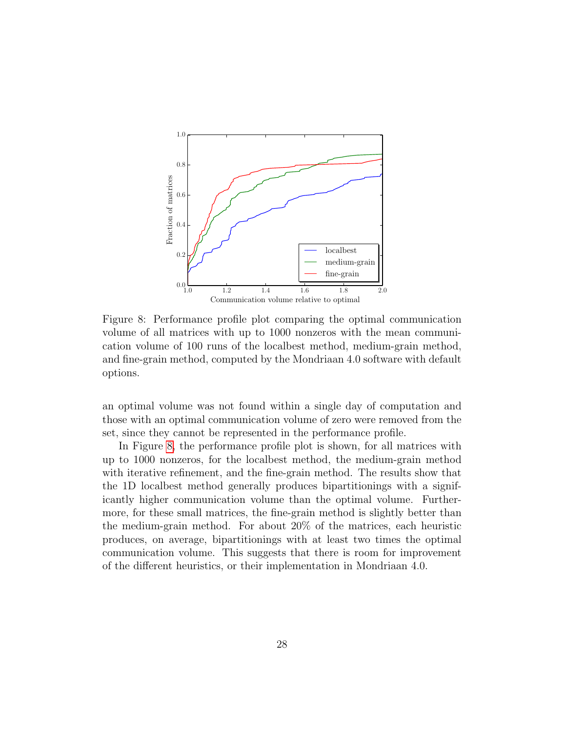<span id="page-27-0"></span>

Figure 8: Performance profile plot comparing the optimal communication volume of all matrices with up to 1000 nonzeros with the mean communication volume of 100 runs of the localbest method, medium-grain method, and fine-grain method, computed by the Mondriaan 4.0 software with default options.

an optimal volume was not found within a single day of computation and those with an optimal communication volume of zero were removed from the set, since they cannot be represented in the performance profile.

In Figure [8,](#page-27-0) the performance profile plot is shown, for all matrices with up to 1000 nonzeros, for the localbest method, the medium-grain method with iterative refinement, and the fine-grain method. The results show that the 1D localbest method generally produces bipartitionings with a significantly higher communication volume than the optimal volume. Furthermore, for these small matrices, the fine-grain method is slightly better than the medium-grain method. For about 20% of the matrices, each heuristic produces, on average, bipartitionings with at least two times the optimal communication volume. This suggests that there is room for improvement of the different heuristics, or their implementation in Mondriaan 4.0.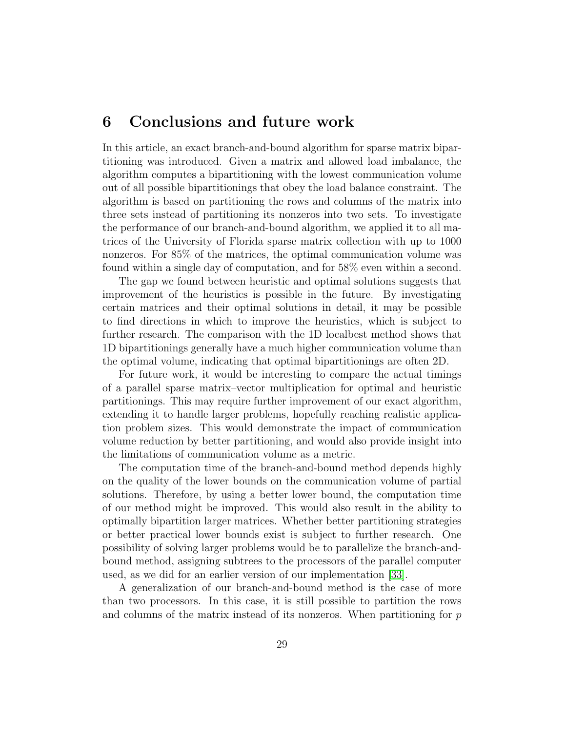### 6 Conclusions and future work

In this article, an exact branch-and-bound algorithm for sparse matrix bipartitioning was introduced. Given a matrix and allowed load imbalance, the algorithm computes a bipartitioning with the lowest communication volume out of all possible bipartitionings that obey the load balance constraint. The algorithm is based on partitioning the rows and columns of the matrix into three sets instead of partitioning its nonzeros into two sets. To investigate the performance of our branch-and-bound algorithm, we applied it to all matrices of the University of Florida sparse matrix collection with up to 1000 nonzeros. For 85% of the matrices, the optimal communication volume was found within a single day of computation, and for 58% even within a second.

The gap we found between heuristic and optimal solutions suggests that improvement of the heuristics is possible in the future. By investigating certain matrices and their optimal solutions in detail, it may be possible to find directions in which to improve the heuristics, which is subject to further research. The comparison with the 1D localbest method shows that 1D bipartitionings generally have a much higher communication volume than the optimal volume, indicating that optimal bipartitionings are often 2D.

For future work, it would be interesting to compare the actual timings of a parallel sparse matrix–vector multiplication for optimal and heuristic partitionings. This may require further improvement of our exact algorithm, extending it to handle larger problems, hopefully reaching realistic application problem sizes. This would demonstrate the impact of communication volume reduction by better partitioning, and would also provide insight into the limitations of communication volume as a metric.

The computation time of the branch-and-bound method depends highly on the quality of the lower bounds on the communication volume of partial solutions. Therefore, by using a better lower bound, the computation time of our method might be improved. This would also result in the ability to optimally bipartition larger matrices. Whether better partitioning strategies or better practical lower bounds exist is subject to further research. One possibility of solving larger problems would be to parallelize the branch-andbound method, assigning subtrees to the processors of the parallel computer used, as we did for an earlier version of our implementation [\[33\]](#page-32-9).

A generalization of our branch-and-bound method is the case of more than two processors. In this case, it is still possible to partition the rows and columns of the matrix instead of its nonzeros. When partitioning for p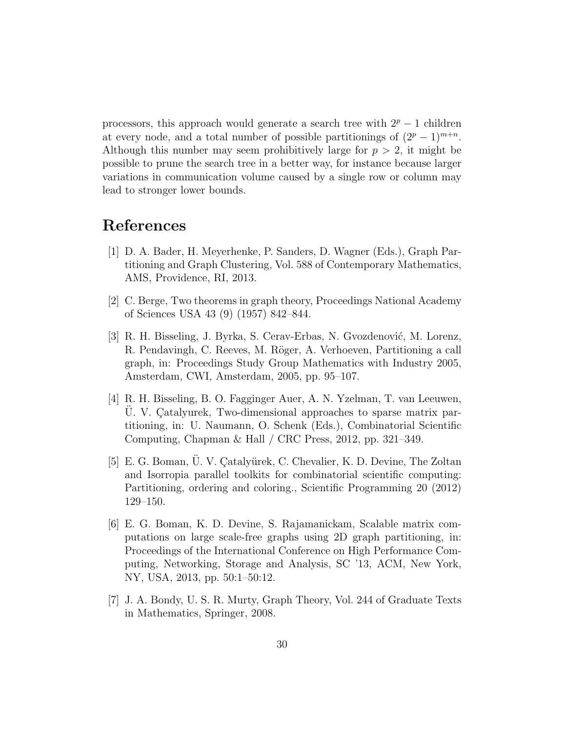processors, this approach would generate a search tree with  $2^p - 1$  children at every node, and a total number of possible partitionings of  $(2^p - 1)^{m+n}$ . Although this number may seem prohibitively large for  $p > 2$ , it might be possible to prune the search tree in a better way, for instance because larger variations in communication volume caused by a single row or column may lead to stronger lower bounds.

## References

- <span id="page-29-2"></span>[1] D. A. Bader, H. Meyerhenke, P. Sanders, D. Wagner (Eds.), Graph Partitioning and Graph Clustering, Vol. 588 of Contemporary Mathematics, AMS, Providence, RI, 2013.
- <span id="page-29-5"></span>[2] C. Berge, Two theorems in graph theory, Proceedings National Academy of Sciences USA 43 (9) (1957) 842–844.
- <span id="page-29-3"></span>[3] R. H. Bisseling, J. Byrka, S. Cerav-Erbas, N. Gvozdenović, M. Lorenz, R. Pendavingh, C. Reeves, M. Röger, A. Verhoeven, Partitioning a call graph, in: Proceedings Study Group Mathematics with Industry 2005, Amsterdam, CWI, Amsterdam, 2005, pp. 95–107.
- <span id="page-29-4"></span>[4] R. H. Bisseling, B. O. Fagginger Auer, A. N. Yzelman, T. van Leeuwen, U. V. Catalyurek, Two-dimensional approaches to sparse matrix partitioning, in: U. Naumann, O. Schenk (Eds.), Combinatorial Scientific Computing, Chapman & Hall / CRC Press, 2012, pp. 321–349.
- <span id="page-29-1"></span>[5] E. G. Boman, U. V. Çatalyürek, C. Chevalier, K. D. Devine, The Zoltan and Isorropia parallel toolkits for combinatorial scientific computing: Partitioning, ordering and coloring., Scientific Programming 20 (2012) 129–150.
- <span id="page-29-0"></span>[6] E. G. Boman, K. D. Devine, S. Rajamanickam, Scalable matrix computations on large scale-free graphs using 2D graph partitioning, in: Proceedings of the International Conference on High Performance Computing, Networking, Storage and Analysis, SC '13, ACM, New York, NY, USA, 2013, pp. 50:1–50:12.
- <span id="page-29-6"></span>[7] J. A. Bondy, U. S. R. Murty, Graph Theory, Vol. 244 of Graduate Texts in Mathematics, Springer, 2008.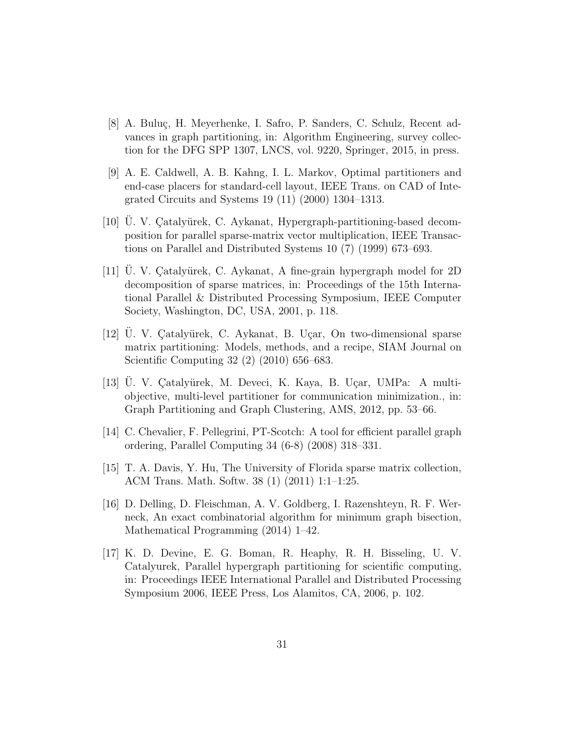- <span id="page-30-5"></span>[8] A. Buluç, H. Meyerhenke, I. Safro, P. Sanders, C. Schulz, Recent advances in graph partitioning, in: Algorithm Engineering, survey collection for the DFG SPP 1307, LNCS, vol. 9220, Springer, 2015, in press.
- <span id="page-30-7"></span>[9] A. E. Caldwell, A. B. Kahng, I. L. Markov, Optimal partitioners and end-case placers for standard-cell layout, IEEE Trans. on CAD of Integrated Circuits and Systems 19 (11) (2000) 1304–1313.
- <span id="page-30-0"></span>[10] U. V. Çatalyürek, C. Aykanat, Hypergraph-partitioning-based decomposition for parallel sparse-matrix vector multiplication, IEEE Transactions on Parallel and Distributed Systems 10 (7) (1999) 673–693.
- <span id="page-30-1"></span>[11] U. V. Çatalyürek, C. Aykanat, A fine-grain hypergraph model for 2D decomposition of sparse matrices, in: Proceedings of the 15th International Parallel & Distributed Processing Symposium, IEEE Computer Society, Washington, DC, USA, 2001, p. 118.
- <span id="page-30-9"></span> $[12]$  U. V. Catalyürek, C. Aykanat, B. Uçar, On two-dimensional sparse matrix partitioning: Models, methods, and a recipe, SIAM Journal on Scientific Computing 32 (2) (2010) 656–683.
- <span id="page-30-2"></span>[13] U. V. Çatalyürek, M. Deveci, K. Kaya, B. Uçar, UMPa: A multiobjective, multi-level partitioner for communication minimization., in: Graph Partitioning and Graph Clustering, AMS, 2012, pp. 53–66.
- <span id="page-30-4"></span>[14] C. Chevalier, F. Pellegrini, PT-Scotch: A tool for efficient parallel graph ordering, Parallel Computing 34 (6-8) (2008) 318–331.
- <span id="page-30-8"></span>[15] T. A. Davis, Y. Hu, The University of Florida sparse matrix collection, ACM Trans. Math. Softw. 38 (1) (2011) 1:1–1:25.
- <span id="page-30-6"></span>[16] D. Delling, D. Fleischman, A. V. Goldberg, I. Razenshteyn, R. F. Werneck, An exact combinatorial algorithm for minimum graph bisection, Mathematical Programming (2014) 1–42.
- <span id="page-30-3"></span>[17] K. D. Devine, E. G. Boman, R. Heaphy, R. H. Bisseling, U. V. Catalyurek, Parallel hypergraph partitioning for scientific computing, in: Proceedings IEEE International Parallel and Distributed Processing Symposium 2006, IEEE Press, Los Alamitos, CA, 2006, p. 102.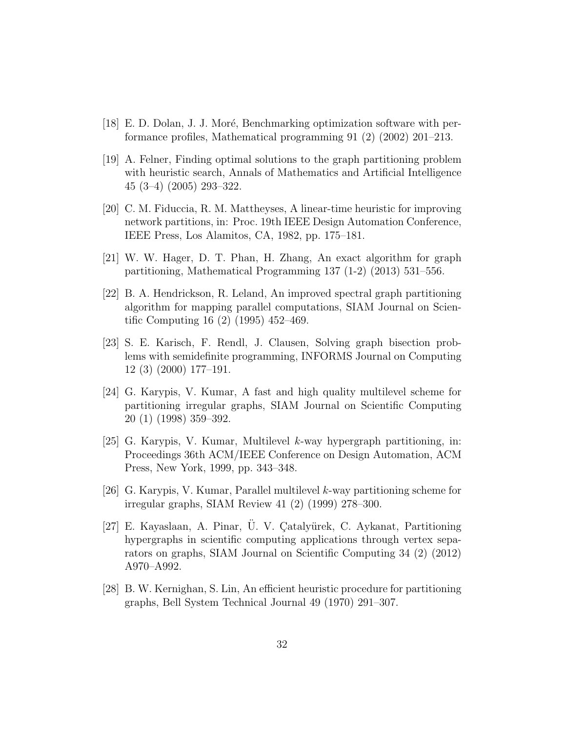- <span id="page-31-10"></span>[18] E. D. Dolan, J. J. Moré, Benchmarking optimization software with performance profiles, Mathematical programming 91 (2) (2002) 201–213.
- <span id="page-31-7"></span>[19] A. Felner, Finding optimal solutions to the graph partitioning problem with heuristic search, Annals of Mathematics and Artificial Intelligence 45 (3–4) (2005) 293–322.
- <span id="page-31-2"></span>[20] C. M. Fiduccia, R. M. Mattheyses, A linear-time heuristic for improving network partitions, in: Proc. 19th IEEE Design Automation Conference, IEEE Press, Los Alamitos, CA, 1982, pp. 175–181.
- <span id="page-31-8"></span>[21] W. W. Hager, D. T. Phan, H. Zhang, An exact algorithm for graph partitioning, Mathematical Programming 137 (1-2) (2013) 531–556.
- <span id="page-31-3"></span>[22] B. A. Hendrickson, R. Leland, An improved spectral graph partitioning algorithm for mapping parallel computations, SIAM Journal on Scientific Computing 16 (2) (1995) 452–469.
- <span id="page-31-6"></span>[23] S. E. Karisch, F. Rendl, J. Clausen, Solving graph bisection problems with semidefinite programming, INFORMS Journal on Computing 12 (3) (2000) 177–191.
- <span id="page-31-4"></span>[24] G. Karypis, V. Kumar, A fast and high quality multilevel scheme for partitioning irregular graphs, SIAM Journal on Scientific Computing 20 (1) (1998) 359–392.
- <span id="page-31-0"></span>[25] G. Karypis, V. Kumar, Multilevel k-way hypergraph partitioning, in: Proceedings 36th ACM/IEEE Conference on Design Automation, ACM Press, New York, 1999, pp. 343–348.
- <span id="page-31-5"></span>[26] G. Karypis, V. Kumar, Parallel multilevel k-way partitioning scheme for irregular graphs, SIAM Review 41 (2) (1999) 278–300.
- <span id="page-31-9"></span> $[27]$  E. Kayaslaan, A. Pinar, Ü. V. Çatalyürek, C. Aykanat, Partitioning hypergraphs in scientific computing applications through vertex separators on graphs, SIAM Journal on Scientific Computing 34 (2) (2012) A970–A992.
- <span id="page-31-1"></span>[28] B. W. Kernighan, S. Lin, An efficient heuristic procedure for partitioning graphs, Bell System Technical Journal 49 (1970) 291–307.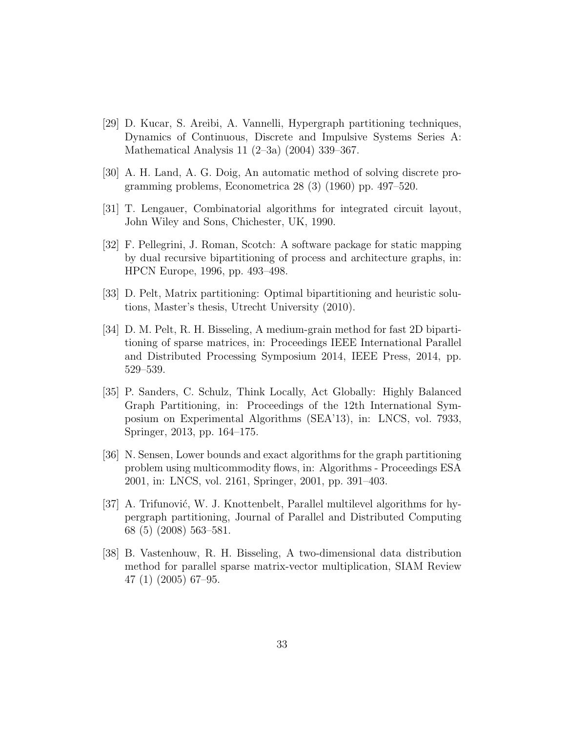- <span id="page-32-8"></span>[29] D. Kucar, S. Areibi, A. Vannelli, Hypergraph partitioning techniques, Dynamics of Continuous, Discrete and Impulsive Systems Series A: Mathematical Analysis 11 (2–3a) (2004) 339–367.
- <span id="page-32-6"></span>[30] A. H. Land, A. G. Doig, An automatic method of solving discrete programming problems, Econometrica 28 (3) (1960) pp. 497–520.
- <span id="page-32-0"></span>[31] T. Lengauer, Combinatorial algorithms for integrated circuit layout, John Wiley and Sons, Chichester, UK, 1990.
- <span id="page-32-4"></span>[32] F. Pellegrini, J. Roman, Scotch: A software package for static mapping by dual recursive bipartitioning of process and architecture graphs, in: HPCN Europe, 1996, pp. 493–498.
- <span id="page-32-9"></span>[33] D. Pelt, Matrix partitioning: Optimal bipartitioning and heuristic solutions, Master's thesis, Utrecht University (2010).
- <span id="page-32-1"></span>[34] D. M. Pelt, R. H. Bisseling, A medium-grain method for fast 2D bipartitioning of sparse matrices, in: Proceedings IEEE International Parallel and Distributed Processing Symposium 2014, IEEE Press, 2014, pp. 529–539.
- <span id="page-32-5"></span>[35] P. Sanders, C. Schulz, Think Locally, Act Globally: Highly Balanced Graph Partitioning, in: Proceedings of the 12th International Symposium on Experimental Algorithms (SEA'13), in: LNCS, vol. 7933, Springer, 2013, pp. 164–175.
- <span id="page-32-7"></span>[36] N. Sensen, Lower bounds and exact algorithms for the graph partitioning problem using multicommodity flows, in: Algorithms - Proceedings ESA 2001, in: LNCS, vol. 2161, Springer, 2001, pp. 391–403.
- <span id="page-32-3"></span>[37] A. Trifunović, W. J. Knottenbelt, Parallel multilevel algorithms for hypergraph partitioning, Journal of Parallel and Distributed Computing 68 (5) (2008) 563–581.
- <span id="page-32-2"></span>[38] B. Vastenhouw, R. H. Bisseling, A two-dimensional data distribution method for parallel sparse matrix-vector multiplication, SIAM Review 47 (1) (2005) 67–95.